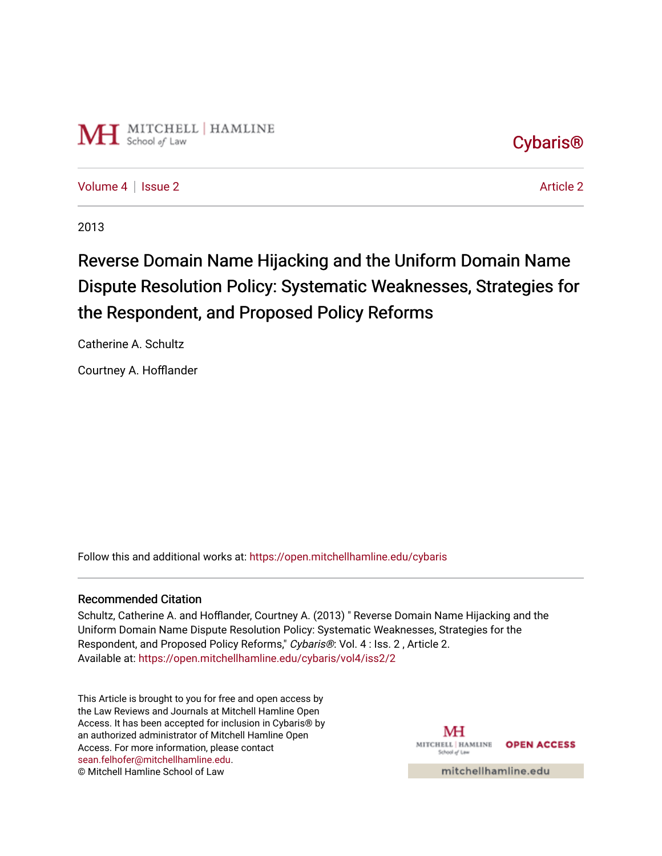

[Cybaris®](https://open.mitchellhamline.edu/cybaris) 

[Volume 4](https://open.mitchellhamline.edu/cybaris/vol4) | [Issue 2](https://open.mitchellhamline.edu/cybaris/vol4/iss2) Article 2

2013

# Reverse Domain Name Hijacking and the Uniform Domain Name Dispute Resolution Policy: Systematic Weaknesses, Strategies for the Respondent, and Proposed Policy Reforms

Catherine A. Schultz

Courtney A. Hofflander

Follow this and additional works at: [https://open.mitchellhamline.edu/cybaris](https://open.mitchellhamline.edu/cybaris?utm_source=open.mitchellhamline.edu%2Fcybaris%2Fvol4%2Fiss2%2F2&utm_medium=PDF&utm_campaign=PDFCoverPages) 

#### Recommended Citation

Schultz, Catherine A. and Hofflander, Courtney A. (2013) " Reverse Domain Name Hijacking and the Uniform Domain Name Dispute Resolution Policy: Systematic Weaknesses, Strategies for the Respondent, and Proposed Policy Reforms," Cybaris®: Vol. 4 : Iss. 2 , Article 2. Available at: [https://open.mitchellhamline.edu/cybaris/vol4/iss2/2](https://open.mitchellhamline.edu/cybaris/vol4/iss2/2?utm_source=open.mitchellhamline.edu%2Fcybaris%2Fvol4%2Fiss2%2F2&utm_medium=PDF&utm_campaign=PDFCoverPages)

This Article is brought to you for free and open access by the Law Reviews and Journals at Mitchell Hamline Open Access. It has been accepted for inclusion in Cybaris® by an authorized administrator of Mitchell Hamline Open Access. For more information, please contact [sean.felhofer@mitchellhamline.edu](mailto:sean.felhofer@mitchellhamline.edu). © Mitchell Hamline School of Law

MH MITCHELL | HAMLINE **OPEN ACCESS** School of Law

mitchellhamline.edu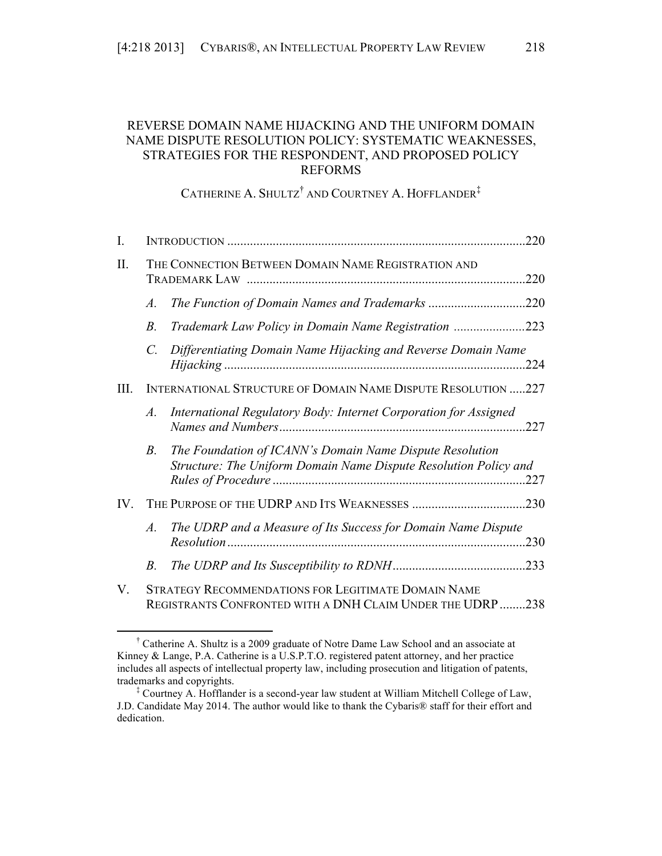# REVERSE DOMAIN NAME HIJACKING AND THE UNIFORM DOMAIN NAME DISPUTE RESOLUTION POLICY: SYSTEMATIC WEAKNESSES, STRATEGIES FOR THE RESPONDENT, AND PROPOSED POLICY REFORMS

CATHERINE A. SHULTZ<sup>†</sup> AND COURTNEY A. HOFFLANDER<sup>‡</sup>

| I.       |                                                               |                                                                                                                              |      |  |  |
|----------|---------------------------------------------------------------|------------------------------------------------------------------------------------------------------------------------------|------|--|--|
| II.      | THE CONNECTION BETWEEN DOMAIN NAME REGISTRATION AND           |                                                                                                                              |      |  |  |
|          | $\mathcal{A}.$                                                | The Function of Domain Names and Trademarks 220                                                                              |      |  |  |
|          | $B_{\cdot}$                                                   | Trademark Law Policy in Domain Name Registration 223                                                                         |      |  |  |
|          | C.                                                            | Differentiating Domain Name Hijacking and Reverse Domain Name                                                                | 224  |  |  |
| III.     | INTERNATIONAL STRUCTURE OF DOMAIN NAME DISPUTE RESOLUTION 227 |                                                                                                                              |      |  |  |
|          | $\mathcal{A}$ .                                               | International Regulatory Body: Internet Corporation for Assigned                                                             | .227 |  |  |
|          | <i>B</i> .                                                    | The Foundation of ICANN's Domain Name Dispute Resolution<br>Structure: The Uniform Domain Name Dispute Resolution Policy and | .227 |  |  |
| $IV_{-}$ |                                                               |                                                                                                                              | .230 |  |  |
|          | A.                                                            | The UDRP and a Measure of Its Success for Domain Name Dispute                                                                | .230 |  |  |
|          | <i>B</i> .                                                    |                                                                                                                              |      |  |  |
| $V_{-}$  |                                                               | <b>STRATEGY RECOMMENDATIONS FOR LEGITIMATE DOMAIN NAME</b><br>REGISTRANTS CONFRONTED WITH A DNH CLAIM UNDER THE UDRP 238     |      |  |  |

 † Catherine A. Shultz is a 2009 graduate of Notre Dame Law School and an associate at Kinney & Lange, P.A. Catherine is a U.S.P.T.O. registered patent attorney, and her practice includes all aspects of intellectual property law, including prosecution and litigation of patents, trademarks and copyrights.

<sup>‡</sup> Courtney A. Hofflander is a second-year law student at William Mitchell College of Law, J.D. Candidate May 2014. The author would like to thank the Cybaris® staff for their effort and dedication.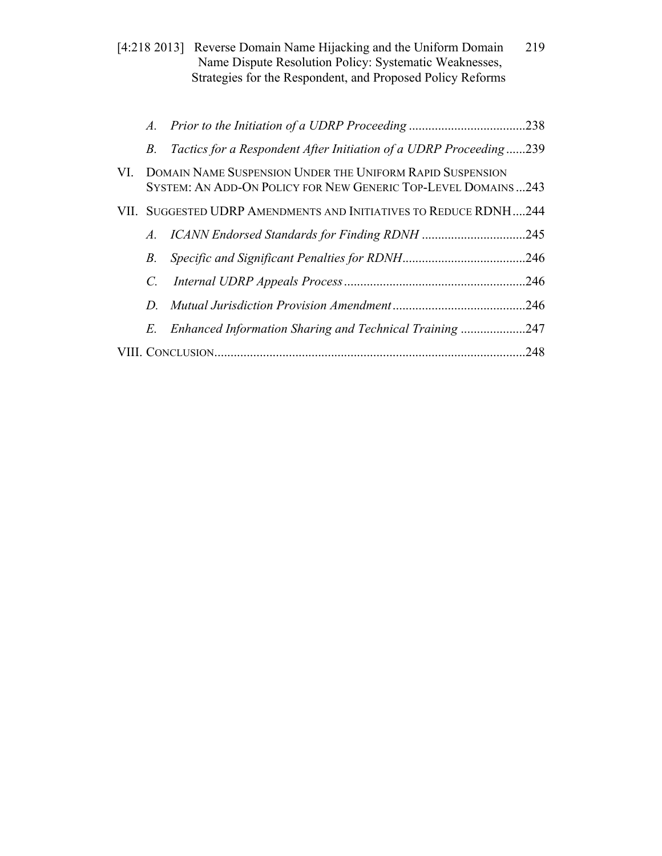|                           |                                                                                                                                   |  | [4:218 2013] Reverse Domain Name Hijacking and the Uniform Domain<br>Name Dispute Resolution Policy: Systematic Weaknesses,<br>Strategies for the Respondent, and Proposed Policy Reforms | 219 |  |  |
|---------------------------|-----------------------------------------------------------------------------------------------------------------------------------|--|-------------------------------------------------------------------------------------------------------------------------------------------------------------------------------------------|-----|--|--|
|                           | $\mathcal{A}_{-}$                                                                                                                 |  |                                                                                                                                                                                           |     |  |  |
|                           | $B_{\cdot}$                                                                                                                       |  | Tactics for a Respondent After Initiation of a UDRP Proceeding239                                                                                                                         |     |  |  |
| VI.                       | <b>DOMAIN NAME SUSPENSION UNDER THE UNIFORM RAPID SUSPENSION</b><br>SYSTEM: AN ADD-ON POLICY FOR NEW GENERIC TOP-LEVEL DOMAINS243 |  |                                                                                                                                                                                           |     |  |  |
|                           |                                                                                                                                   |  | VII. SUGGESTED UDRP AMENDMENTS AND INITIATIVES TO REDUCE RDNH244                                                                                                                          |     |  |  |
|                           | A.                                                                                                                                |  |                                                                                                                                                                                           |     |  |  |
|                           | В.                                                                                                                                |  |                                                                                                                                                                                           |     |  |  |
|                           | C.                                                                                                                                |  |                                                                                                                                                                                           | 246 |  |  |
|                           | D.                                                                                                                                |  |                                                                                                                                                                                           |     |  |  |
|                           | E.                                                                                                                                |  | Enhanced Information Sharing and Technical Training247                                                                                                                                    |     |  |  |
| .248<br>VIII. CONCLUSION. |                                                                                                                                   |  |                                                                                                                                                                                           |     |  |  |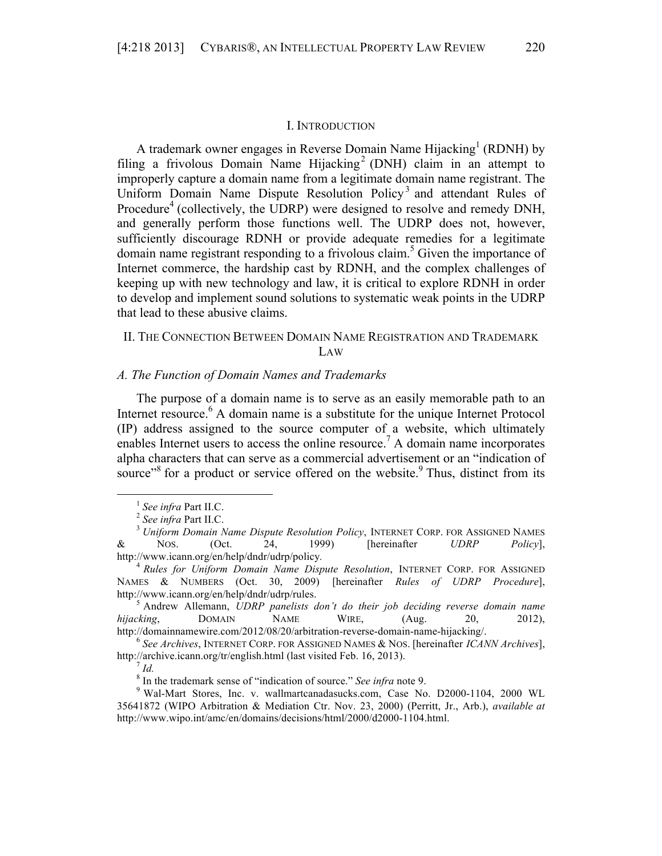#### I. INTRODUCTION

A trademark owner engages in Reverse Domain Name  $Hijacking<sup>1</sup>$  (RDNH) by filing a frivolous Domain Name Hijacking<sup>2</sup> (DNH) claim in an attempt to improperly capture a domain name from a legitimate domain name registrant. The Uniform Domain Name Dispute Resolution Policy<sup>3</sup> and attendant Rules of Procedure<sup>4</sup> (collectively, the UDRP) were designed to resolve and remedy DNH, and generally perform those functions well. The UDRP does not, however, sufficiently discourage RDNH or provide adequate remedies for a legitimate domain name registrant responding to a frivolous claim.<sup>5</sup> Given the importance of Internet commerce, the hardship cast by RDNH, and the complex challenges of keeping up with new technology and law, it is critical to explore RDNH in order to develop and implement sound solutions to systematic weak points in the UDRP that lead to these abusive claims.

# II. THE CONNECTION BETWEEN DOMAIN NAME REGISTRATION AND TRADEMARK LAW

# *A. The Function of Domain Names and Trademarks*

The purpose of a domain name is to serve as an easily memorable path to an Internet resource.<sup>6</sup> A domain name is a substitute for the unique Internet Protocol (IP) address assigned to the source computer of a website, which ultimately enables Internet users to access the online resource.<sup>7</sup> A domain name incorporates alpha characters that can serve as a commercial advertisement or an "indication of source"<sup>8</sup> for a product or service offered on the website.  $\degree$  Thus, distinct from its

*hijacking*, DOMAIN NAME WIRE, (Aug. 20, 2012),

http://domainnamewire.com/2012/08/20/arbitration-reverse-domain-name-hijacking/. <sup>6</sup> *See Archives*, INTERNET CORP. FOR ASSIGNED NAMES & NOS. [hereinafter *ICANN Archives*], http://archive.icann.org/tr/english.html (last visited Feb. 16, 2013).<br><sup>7</sup> *Id.* 8 In the trademark sense of "indication of source." See infra note 9.

<sup>&</sup>lt;sup>1</sup> See infra Part II.C.<br><sup>2</sup> See infra Part II.C.<br><sup>3</sup> *Uniform Domain Name Dispute Resolution Policy*, INTERNET CORP. FOR ASSIGNED NAMES & NOS. (Oct. 24, 1999) [hereinafter *UDRP Policy*], http://www.icann.org/en/help/dndr/udrp/policy*.* <sup>4</sup> *Rules for Uniform Domain Name Dispute Resolution*, INTERNET CORP. FOR ASSIGNED

NAMES & NUMBERS (Oct. 30, 2009) [hereinafter *Rules of UDRP Procedure*], http://www.icann.org/en/help/dndr/udrp/rules. 5 Andrew Allemann, *UDRP panelists don't do their job deciding reverse domain name* 

<sup>&</sup>lt;sup>9</sup> Wal-Mart Stores, Inc. v. wallmartcanadasucks.com, Case No. D2000-1104, 2000 WL 35641872 (WIPO Arbitration & Mediation Ctr. Nov. 23, 2000) (Perritt, Jr., Arb.), *available at*  http://www.wipo.int/amc/en/domains/decisions/html/2000/d2000-1104.html.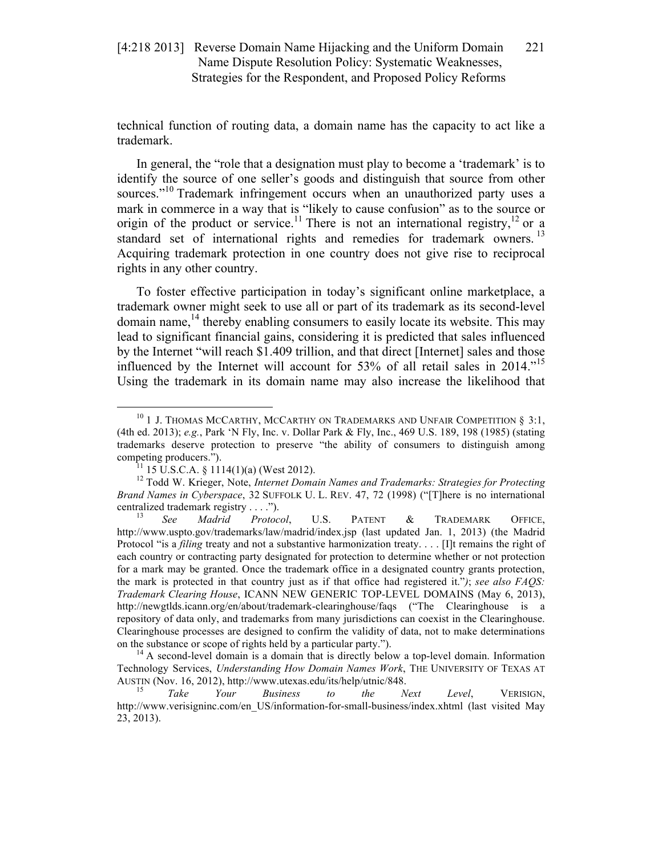technical function of routing data, a domain name has the capacity to act like a trademark.

In general, the "role that a designation must play to become a 'trademark' is to identify the source of one seller's goods and distinguish that source from other sources."<sup>10</sup> Trademark infringement occurs when an unauthorized party uses a mark in commerce in a way that is "likely to cause confusion" as to the source or origin of the product or service.<sup>11</sup> There is not an international registry,<sup>12</sup> or a standard set of international rights and remedies for trademark owners.<sup>13</sup> Acquiring trademark protection in one country does not give rise to reciprocal rights in any other country.

To foster effective participation in today's significant online marketplace, a trademark owner might seek to use all or part of its trademark as its second-level domain name,  $^{14}$  thereby enabling consumers to easily locate its website. This may lead to significant financial gains, considering it is predicted that sales influenced by the Internet "will reach \$1.409 trillion, and that direct [Internet] sales and those influenced by the Internet will account for 53% of all retail sales in 2014."<sup>15</sup> Using the trademark in its domain name may also increase the likelihood that

 $^{10}$  1 J. Thomas McCarthy, McCarthy on Trademarks and Unfair Competition § 3:1, (4th ed. 2013); *e.g.*, Park 'N Fly, Inc. v. Dollar Park & Fly, Inc., 469 U.S. 189, 198 (1985) (stating trademarks deserve protection to preserve "the ability of consumers to distinguish among competing producers.").<br><sup>11</sup> 15 U.S.C.A. § 1114(1)(a) (West 2012).<br><sup>12</sup> Todd W. Krieger, Note, *Internet Domain Names and Trademarks: Strategies for Protecting* 

*Brand Names in Cyberspace*, 32 SUFFOLK U. L. REV. 47, 72 (1998) ("[T]here is no international centralized trademark registry . . . ."). <sup>13</sup> *See Madrid Protocol*, U.S. PATENT & TRADEMARK OFFICE,

http://www.uspto.gov/trademarks/law/madrid/index.jsp (last updated Jan. 1, 2013) (the Madrid Protocol "is a *filing* treaty and not a substantive harmonization treaty.... [I]t remains the right of each country or contracting party designated for protection to determine whether or not protection for a mark may be granted. Once the trademark office in a designated country grants protection, the mark is protected in that country just as if that office had registered it."*)*; *see also FAQS: Trademark Clearing House*, ICANN NEW GENERIC TOP-LEVEL DOMAINS (May 6, 2013), http://newgtlds.icann.org/en/about/trademark-clearinghouse/faqs ("The Clearinghouse is a repository of data only, and trademarks from many jurisdictions can coexist in the Clearinghouse. Clearinghouse processes are designed to confirm the validity of data, not to make determinations on the substance or scope of rights held by a particular party."). <sup>14</sup> A second-level domain is a domain that is directly below a top-level domain. Information

Technology Services, *Understanding How Domain Names Work*, THE UNIVERSITY OF TEXAS AT AUSTIN (Nov. 16, 2012), http://www.utexas.edu/its/help/utnic/848. <sup>15</sup> *Take Your Business to the Next Level*, VERISIGN,

http://www.verisigninc.com/en\_US/information-for-small-business/index.xhtml (last visited May 23, 2013).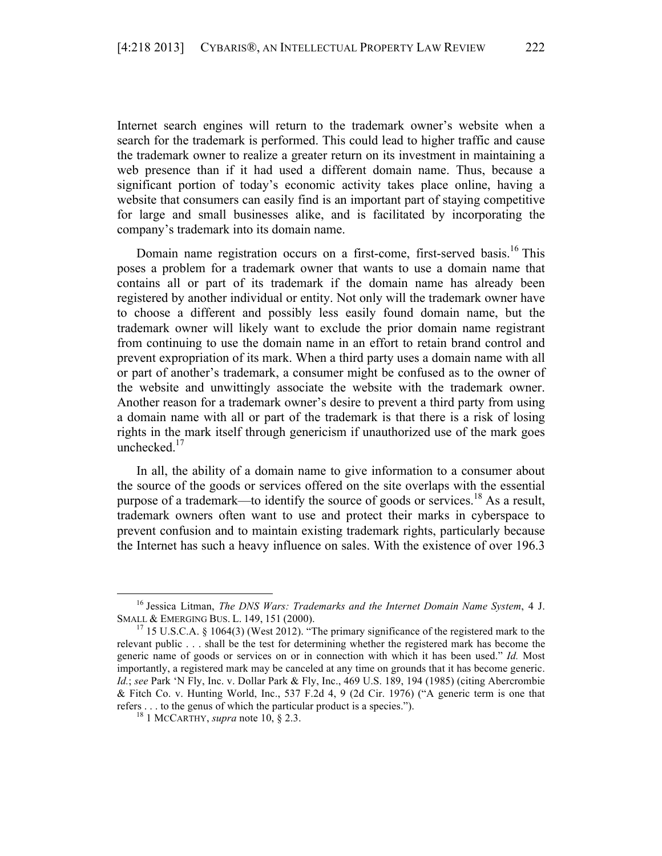Internet search engines will return to the trademark owner's website when a search for the trademark is performed. This could lead to higher traffic and cause the trademark owner to realize a greater return on its investment in maintaining a web presence than if it had used a different domain name. Thus, because a significant portion of today's economic activity takes place online, having a website that consumers can easily find is an important part of staying competitive for large and small businesses alike, and is facilitated by incorporating the company's trademark into its domain name.

Domain name registration occurs on a first-come, first-served basis.<sup>16</sup> This poses a problem for a trademark owner that wants to use a domain name that contains all or part of its trademark if the domain name has already been registered by another individual or entity. Not only will the trademark owner have to choose a different and possibly less easily found domain name, but the trademark owner will likely want to exclude the prior domain name registrant from continuing to use the domain name in an effort to retain brand control and prevent expropriation of its mark. When a third party uses a domain name with all or part of another's trademark, a consumer might be confused as to the owner of the website and unwittingly associate the website with the trademark owner. Another reason for a trademark owner's desire to prevent a third party from using a domain name with all or part of the trademark is that there is a risk of losing rights in the mark itself through genericism if unauthorized use of the mark goes unchecked. $17$ 

In all, the ability of a domain name to give information to a consumer about the source of the goods or services offered on the site overlaps with the essential purpose of a trademark—to identify the source of goods or services.<sup>18</sup> As a result, trademark owners often want to use and protect their marks in cyberspace to prevent confusion and to maintain existing trademark rights, particularly because the Internet has such a heavy influence on sales. With the existence of over 196.3

 <sup>16</sup> Jessica Litman, *The DNS Wars: Trademarks and the Internet Domain Name System*, 4 J. SMALL & EMERGING BUS. L. 149, 151 (2000).<br><sup>17</sup> 15 U.S.C.A. § 1064(3) (West 2012). "The primary significance of the registered mark to the

relevant public . . . shall be the test for determining whether the registered mark has become the generic name of goods or services on or in connection with which it has been used." *Id.* Most importantly, a registered mark may be canceled at any time on grounds that it has become generic. *Id.*; *see* Park 'N Fly, Inc. v. Dollar Park & Fly, Inc., 469 U.S. 189, 194 (1985) (citing Abercrombie & Fitch Co. v. Hunting World, Inc., 537 F.2d 4, 9 (2d Cir. 1976) ("A generic term is one that refers . . . to the genus of which the particular product is a species."). <sup>18</sup> 1 MCCARTHY, *supra* note 10, § 2.3.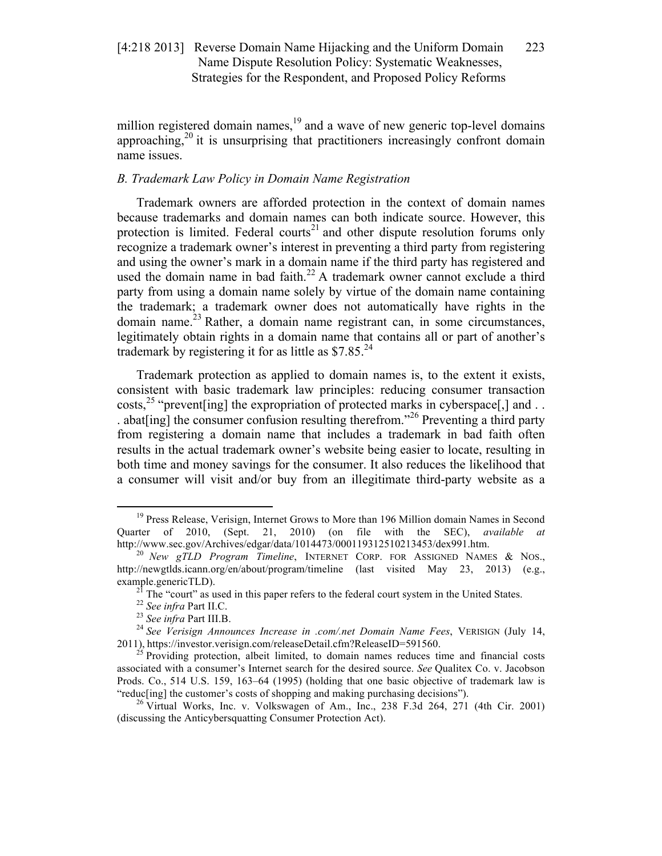million registered domain names,<sup>19</sup> and a wave of new generic top-level domains approaching,<sup>20</sup> it is unsurprising that practitioners increasingly confront domain name issues.

# *B. Trademark Law Policy in Domain Name Registration*

Trademark owners are afforded protection in the context of domain names because trademarks and domain names can both indicate source. However, this protection is limited. Federal courts<sup>21</sup> and other dispute resolution forums only recognize a trademark owner's interest in preventing a third party from registering and using the owner's mark in a domain name if the third party has registered and used the domain name in bad faith.<sup>22</sup> A trademark owner cannot exclude a third party from using a domain name solely by virtue of the domain name containing the trademark; a trademark owner does not automatically have rights in the domain name.<sup>23</sup> Rather, a domain name registrant can, in some circumstances, legitimately obtain rights in a domain name that contains all or part of another's trademark by registering it for as little as  $$7.85$ <sup>24</sup>

Trademark protection as applied to domain names is, to the extent it exists, consistent with basic trademark law principles: reducing consumer transaction costs,<sup>25</sup> "prevent [ing] the expropriation of protected marks in cyberspace [,] and ... . abat $\left[\text{ing}\right]$  the consumer confusion resulting therefrom."<sup>26</sup> Preventing a third party from registering a domain name that includes a trademark in bad faith often results in the actual trademark owner's website being easier to locate, resulting in both time and money savings for the consumer. It also reduces the likelihood that a consumer will visit and/or buy from an illegitimate third-party website as a

<sup>&</sup>lt;sup>19</sup> Press Release, Verisign, Internet Grows to More than 196 Million domain Names in Second Quarter of 2010, (Sept. 21, 2010) (on file with the SEC), *available at* http://www.sec.gov/Archives/edgar/data/1014473/000119312510213453/dex991.htm. 20 *New gTLD Program Timeline*, INTERNET CORP. FOR ASSIGNED NAMES & NOS.,

http://newgtlds.icann.org/en/about/program/timeline (last visited May 23, 2013) (e.g.,

example.genericTLD).<br>
<sup>21</sup> The "court" as used in this paper refers to the federal court system in the United States.<br>
<sup>22</sup> See infra Part II.C.<br>
<sup>23</sup> See infra Part III.B.<br>
<sup>24</sup> See Verisign Announces Increase in .com/.n 2011), https://investor.verisign.com/releaseDetail.cfm?ReleaseID=591560.<br><sup>25</sup> Providing protection, albeit limited, to domain names reduces time and financial costs

associated with a consumer's Internet search for the desired source. *See* Qualitex Co. v. Jacobson Prods. Co., 514 U.S. 159, 163–64 (1995) (holding that one basic objective of trademark law is

<sup>&</sup>quot;reduc[ing] the customer's costs of shopping and making purchasing decisions").<br><sup>26</sup> Virtual Works, Inc. v. Volkswagen of Am., Inc., 238 F.3d 264, 271 (4th Cir. 2001) (discussing the Anticybersquatting Consumer Protection Act).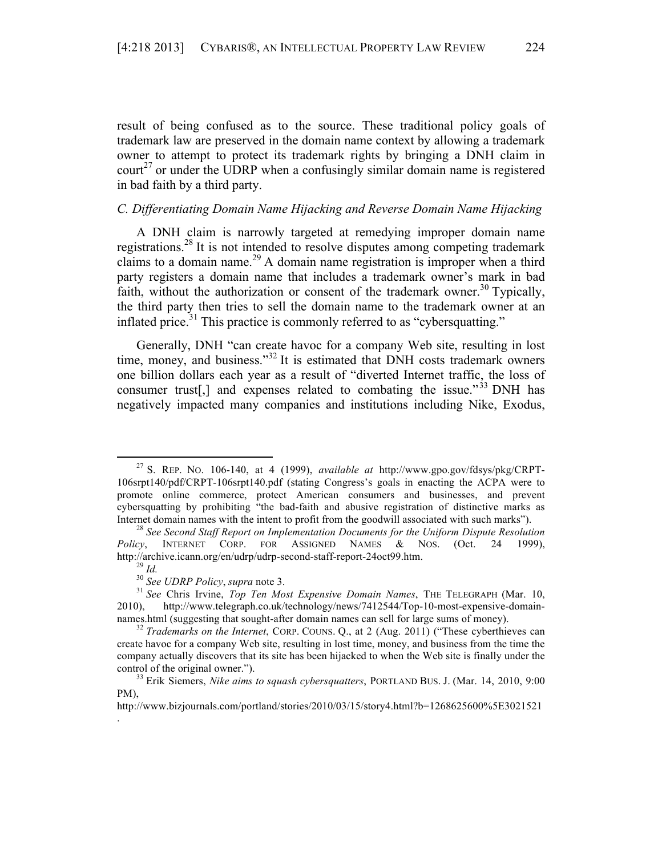result of being confused as to the source. These traditional policy goals of trademark law are preserved in the domain name context by allowing a trademark owner to attempt to protect its trademark rights by bringing a DNH claim in court<sup>27</sup> or under the UDRP when a confusingly similar domain name is registered in bad faith by a third party.

# *C. Differentiating Domain Name Hijacking and Reverse Domain Name Hijacking*

A DNH claim is narrowly targeted at remedying improper domain name registrations.<sup>28</sup> It is not intended to resolve disputes among competing trademark claims to a domain name.<sup>29</sup> A domain name registration is improper when a third party registers a domain name that includes a trademark owner's mark in bad faith, without the authorization or consent of the trademark owner.<sup>30</sup> Typically, the third party then tries to sell the domain name to the trademark owner at an inflated price.<sup>31</sup> This practice is commonly referred to as "cybersquatting."

Generally, DNH "can create havoc for a company Web site, resulting in lost time, money, and business."<sup>32</sup> It is estimated that DNH costs trademark owners one billion dollars each year as a result of "diverted Internet traffic, the loss of consumer trust<sup>[1]</sup>, and expenses related to combating the issue."<sup>33</sup> DNH has negatively impacted many companies and institutions including Nike, Exodus,

.

 <sup>27</sup> S. REP. NO. 106-140, at 4 (1999), *available at* http://www.gpo.gov/fdsys/pkg/CRPT-106srpt140/pdf/CRPT-106srpt140.pdf (stating Congress's goals in enacting the ACPA were to promote online commerce, protect American consumers and businesses, and prevent cybersquatting by prohibiting "the bad-faith and abusive registration of distinctive marks as Internet domain names with the intent to profit from the goodwill associated with such marks"). <sup>28</sup> *See Second Staff Report on Implementation Documents for the Uniform Dispute Resolution* 

*Policy*, INTERNET CORP. FOR ASSIGNED NAMES & NOS. (Oct. 24 1999), http://archive.icann.org/en/udrp/udrp-second-staff-report-24oct99.htm.<br>
<sup>29</sup> Id.<br>
<sup>30</sup> See UDRP Policy, supra note 3.<br>
<sup>31</sup> See Chris Irvine, *Top Ten Most Expensive Domain Names*, THE TELEGRAPH (Mar. 10,

<sup>2010),</sup> http://www.telegraph.co.uk/technology/news/7412544/Top-10-most-expensive-domainnames.html (suggesting that sought-after domain names can sell for large sums of money).<br><sup>32</sup> *Trademarks on the Internet*, CORP. COUNS. Q., at 2 (Aug. 2011) ("These cyberthieves can

create havoc for a company Web site, resulting in lost time, money, and business from the time the company actually discovers that its site has been hijacked to when the Web site is finally under the control of the original owner."). 33 Erik Siemers, *Nike aims to squash cybersquatters*, PORTLAND BUS. J. (Mar. 14, 2010, 9:00

PM).

http://www.bizjournals.com/portland/stories/2010/03/15/story4.html?b=1268625600%5E3021521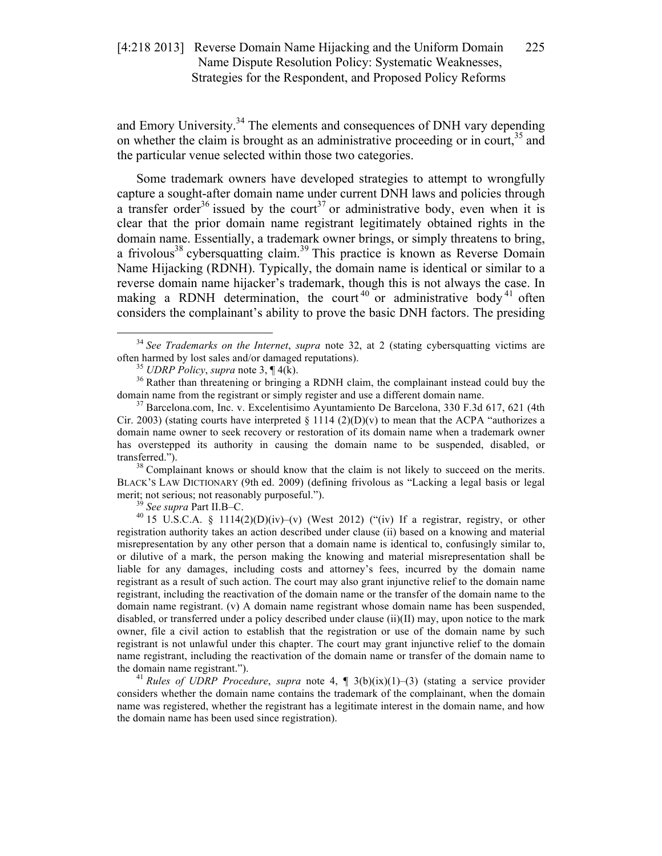and Emory University.<sup>34</sup> The elements and consequences of DNH vary depending on whether the claim is brought as an administrative proceeding or in court,  $35$  and the particular venue selected within those two categories.

Some trademark owners have developed strategies to attempt to wrongfully capture a sought-after domain name under current DNH laws and policies through a transfer order<sup>36</sup> issued by the court<sup>37</sup> or administrative body, even when it is clear that the prior domain name registrant legitimately obtained rights in the domain name. Essentially, a trademark owner brings, or simply threatens to bring, a frivolous<sup>38</sup> cybersquatting claim.<sup>39</sup> This practice is known as Reverse Domain Name Hijacking (RDNH). Typically, the domain name is identical or similar to a reverse domain name hijacker's trademark, though this is not always the case. In making a RDNH determination, the court<sup>40</sup> or administrative body<sup>41</sup> often considers the complainant's ability to prove the basic DNH factors. The presiding

BLACK'S LAW DICTIONARY (9th ed. 2009) (defining frivolous as "Lacking a legal basis or legal merit; not serious; not reasonably purposeful.").<br><sup>39</sup> *See supra* Part II.B–C.<br><sup>40</sup> 15 U.S.C.A. § 1114(2)(D)(iv)–(v) (West 2012) ("(iv) If a registrar, registry, or other

registration authority takes an action described under clause (ii) based on a knowing and material misrepresentation by any other person that a domain name is identical to, confusingly similar to, or dilutive of a mark, the person making the knowing and material misrepresentation shall be liable for any damages, including costs and attorney's fees, incurred by the domain name registrant as a result of such action. The court may also grant injunctive relief to the domain name registrant, including the reactivation of the domain name or the transfer of the domain name to the domain name registrant. (v) A domain name registrant whose domain name has been suspended, disabled, or transferred under a policy described under clause (ii)(II) may, upon notice to the mark owner, file a civil action to establish that the registration or use of the domain name by such registrant is not unlawful under this chapter. The court may grant injunctive relief to the domain name registrant, including the reactivation of the domain name or transfer of the domain name to the domain name registrant."). <sup>41</sup> *Rules of UDRP Procedure*, *supra* note 4, ¶ 3(b)(ix)(1)–(3) (stating a service provider

considers whether the domain name contains the trademark of the complainant, when the domain name was registered, whether the registrant has a legitimate interest in the domain name, and how the domain name has been used since registration).

<sup>&</sup>lt;sup>34</sup> *See Trademarks on the Internet, supra* note 32, at 2 (stating cybersquatting victims are often harmed by lost sales and/or damaged reputations).

<sup>&</sup>lt;sup>35</sup> *UDRP Policy, supra* note 3,  $\P$  4(k). <sup>36</sup> Rather than threatening or bringing a RDNH claim, the complainant instead could buy the domain name from the registrant or simply register and use a different domain name.<br><sup>37</sup> Barcelona.com, Inc. v. Excelentisimo Ayuntamiento De Barcelona, 330 F.3d 617, 621 (4th

Cir. 2003) (stating courts have interpreted  $\S 1114 (2)(D)(v)$  to mean that the ACPA "authorizes a domain name owner to seek recovery or restoration of its domain name when a trademark owner has overstepped its authority in causing the domain name to be suspended, disabled, or transferred.").<br><sup>38</sup> Complainant knows or should know that the claim is not likely to succeed on the merits.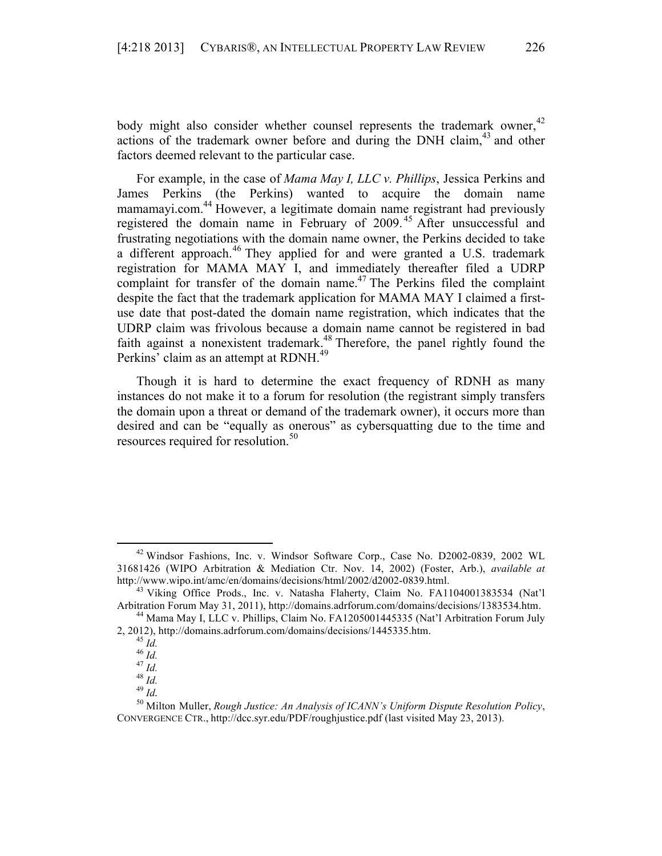body might also consider whether counsel represents the trademark owner,  $42$ actions of the trademark owner before and during the DNH claim, $43$  and other factors deemed relevant to the particular case.

For example, in the case of *Mama May I, LLC v. Phillips*, Jessica Perkins and James Perkins (the Perkins) wanted to acquire the domain name mamamayi.com.<sup>44</sup> However, a legitimate domain name registrant had previously registered the domain name in February of 2009. <sup>45</sup> After unsuccessful and frustrating negotiations with the domain name owner, the Perkins decided to take a different approach.<sup>46</sup> They applied for and were granted a U.S. trademark registration for MAMA MAY I, and immediately thereafter filed a UDRP complaint for transfer of the domain name. <sup>47</sup> The Perkins filed the complaint despite the fact that the trademark application for MAMA MAY I claimed a firstuse date that post-dated the domain name registration, which indicates that the UDRP claim was frivolous because a domain name cannot be registered in bad faith against a nonexistent trademark.<sup>48</sup> Therefore, the panel rightly found the Perkins' claim as an attempt at RDNH.<sup>49</sup>

Though it is hard to determine the exact frequency of RDNH as many instances do not make it to a forum for resolution (the registrant simply transfers the domain upon a threat or demand of the trademark owner), it occurs more than desired and can be "equally as onerous" as cybersquatting due to the time and resources required for resolution.<sup>50</sup>

 <sup>42</sup> Windsor Fashions, Inc. v. Windsor Software Corp., Case No. D2002-0839, 2002 WL 31681426 (WIPO Arbitration & Mediation Ctr. Nov. 14, 2002) (Foster, Arb.), *available at*

http://www.wipo.int/amc/en/domains/decisions/html/2002/d2002-0839.html. <sup>43</sup> Viking Office Prods., Inc. v. Natasha Flaherty, Claim No. FA1104001383534 (Nat'l Arbitration Forum May 31, 2011), http://domains.adrforum.com/domains/decisions/1383534.htm. <sup>44</sup> Mama May I, LLC v. Phillips, Claim No. FA1205001445335 (Nat'l Arbitration Forum July

<sup>2, 2012),</sup> http://domains.adrforum.com/domains/decisions/1445335.htm.<br>
45 *Id.*<br>
46 *Id.*<br>
47 *Id.*<br>
48 *Id.* 

 $^{49}$ *Id*.

<sup>50</sup> Milton Muller, *Rough Justice: An Analysis of ICANN's Uniform Dispute Resolution Policy*, CONVERGENCE CTR., http://dcc.syr.edu/PDF/roughjustice.pdf (last visited May 23, 2013).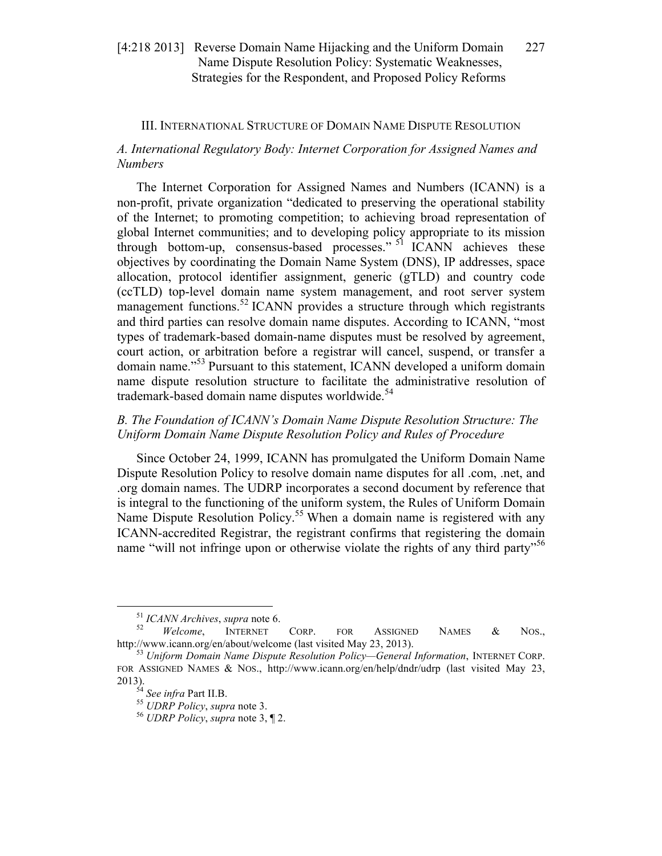# III. INTERNATIONAL STRUCTURE OF DOMAIN NAME DISPUTE RESOLUTION

# *A. International Regulatory Body: Internet Corporation for Assigned Names and Numbers*

The Internet Corporation for Assigned Names and Numbers (ICANN) is a non-profit, private organization "dedicated to preserving the operational stability of the Internet; to promoting competition; to achieving broad representation of global Internet communities; and to developing policy appropriate to its mission through bottom-up, consensus-based processes."  $51$  ICANN achieves these objectives by coordinating the Domain Name System (DNS), IP addresses, space allocation, protocol identifier assignment, generic (gTLD) and country code (ccTLD) top-level domain name system management, and root server system management functions.<sup>52</sup> ICANN provides a structure through which registrants and third parties can resolve domain name disputes. According to ICANN, "most types of trademark-based domain-name disputes must be resolved by agreement, court action, or arbitration before a registrar will cancel, suspend, or transfer a domain name."<sup>53</sup> Pursuant to this statement, ICANN developed a uniform domain name dispute resolution structure to facilitate the administrative resolution of trademark-based domain name disputes worldwide.<sup>54</sup>

# *B. The Foundation of ICANN's Domain Name Dispute Resolution Structure: The Uniform Domain Name Dispute Resolution Policy and Rules of Procedure*

Since October 24, 1999, ICANN has promulgated the Uniform Domain Name Dispute Resolution Policy to resolve domain name disputes for all .com, .net, and .org domain names. The UDRP incorporates a second document by reference that is integral to the functioning of the uniform system, the Rules of Uniform Domain Name Dispute Resolution Policy.<sup>55</sup> When a domain name is registered with any ICANN-accredited Registrar, the registrant confirms that registering the domain name "will not infringe upon or otherwise violate the rights of any third party"<sup>56</sup>

 <sup>51</sup> *ICANN Archives*, *supra* note 6. 52 *Welcome*, INTERNET CORP. FOR ASSIGNED NAMES & NOS., http://www.icann.org/en/about/welcome (last visited May 23, 2013). <sup>53</sup> *Uniform Domain Name Dispute Resolution Policy—General Information*, INTERNET CORP.

FOR ASSIGNED NAMES & NOS., http://www.icann.org/en/help/dndr/udrp (last visited May 23,

<sup>2013). 54</sup> *See infra* Part II.B. 55 *UDRP Policy*, *supra* note 3. 56 *UDRP Policy*, *supra* note 3, ¶ 2.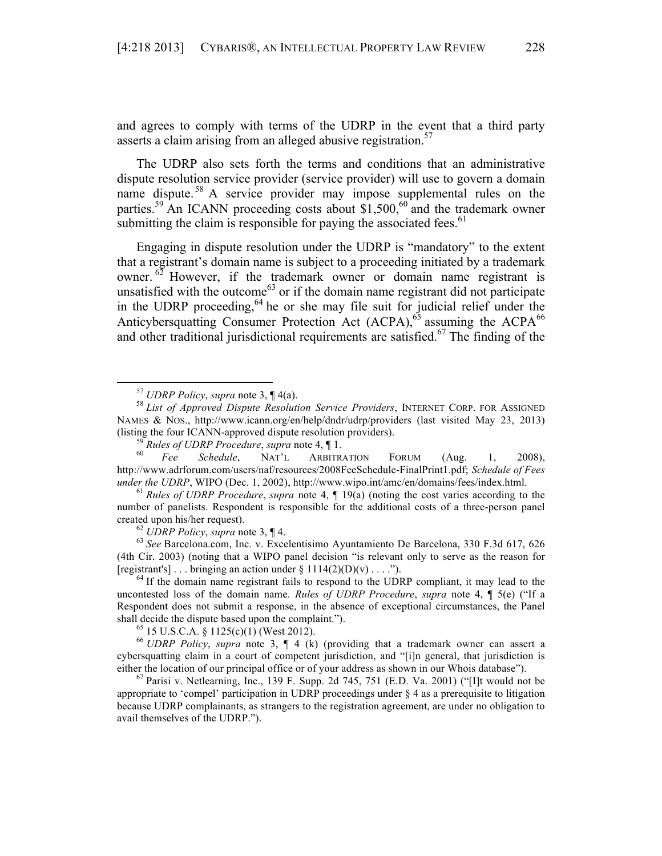and agrees to comply with terms of the UDRP in the event that a third party asserts a claim arising from an alleged abusive registration.<sup>57</sup>

The UDRP also sets forth the terms and conditions that an administrative dispute resolution service provider (service provider) will use to govern a domain name dispute.<sup>58</sup> A service provider may impose supplemental rules on the parties.<sup>59</sup> An ICANN proceeding costs about \$1,500,<sup>60</sup> and the trademark owner submitting the claim is responsible for paying the associated fees.  $61$ 

Engaging in dispute resolution under the UDRP is "mandatory" to the extent that a registrant's domain name is subject to a proceeding initiated by a trademark owner.  $62$  However, if the trademark owner or domain name registrant is unsatisfied with the outcome<sup>63</sup> or if the domain name registrant did not participate in the UDRP proceeding,<sup>64</sup> he or she may file suit for judicial relief under the Anticybersquatting Consumer Protection Act  $(ACPA)$ ,<sup>65</sup> assuming the  $ACPA$ <sup>66</sup> and other traditional jurisdictional requirements are satisfied.<sup>67</sup> The finding of the

(4th Cir. 2003) (noting that a WIPO panel decision "is relevant only to serve as the reason for [registrant's] . . . bringing an action under  $\S 1114(2)(D)(v)$  . . . .").<br><sup>64</sup> If the domain name registrant fails to respond to the UDRP compliant, it may lead to the

uncontested loss of the domain name. *Rules of UDRP Procedure*, *supra* note 4, ¶ 5(e) ("If a Respondent does not submit a response, in the absence of exceptional circumstances, the Panel shall decide the dispute based upon the complaint."). <sup>65</sup> 15 U.S.C.A. § 1125(c)(1) (West 2012). 66 *UDRP Policy*, *supra* note 3, ¶ 4 (k) (providing that a trademark owner can assert a

cybersquatting claim in a court of competent jurisdiction, and "[i]n general, that jurisdiction is either the location of our principal office or of your address as shown in our Whois database").<br><sup>67</sup> Parisi v. Netlearning, Inc., 139 F. Supp. 2d 745, 751 (E.D. Va. 2001) ("[I]t would not be

appropriate to 'compel' participation in UDRP proceedings under § 4 as a prerequisite to litigation because UDRP complainants, as strangers to the registration agreement, are under no obligation to avail themselves of the UDRP.").

 <sup>57</sup> *UDRP Policy*, *supra* note 3, ¶ 4(a). 58 *List of Approved Dispute Resolution Service Providers*, INTERNET CORP. FOR ASSIGNED NAMES & NOS., http://www.icann.org/en/help/dndr/udrp/providers (last visited May 23, 2013) (listing the four ICANN-approved dispute resolution providers).<br><sup>59</sup> *Rules of UDRP Procedure*, *supra* note 4, ¶ 1.<br><sup>60</sup> *Fee* Schedule, NAT'L ARBITRATION FORUM (Aug. 1, 2008),

http://www.adrforum.com/users/naf/resources/2008FeeSchedule-FinalPrint1.pdf; *Schedule of Fees under the UDRP*, WIPO (Dec. 1, 2002), http://www.wipo.int/amc/en/domains/fees/index.html.<br><sup>61</sup> *Rules of UDRP Procedure*, *supra* note 4, ¶ 19(a) (noting the cost varies according to the

number of panelists. Respondent is responsible for the additional costs of a three-person panel created upon his/her request).<br><sup>62</sup> *UDRP Policy*, *supra* note 3, ¶ 4.<br><sup>63</sup> *See* Barcelona.com, Inc. v. Excelentisimo Ayuntamiento De Barcelona, 330 F.3d 617, 626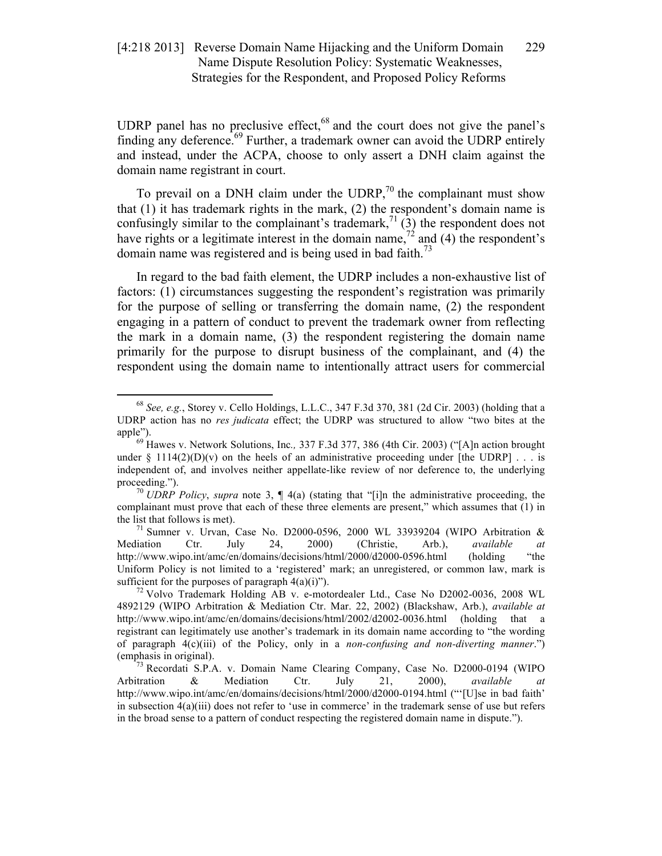UDRP panel has no preclusive effect,<sup>68</sup> and the court does not give the panel's finding any deference.<sup>69</sup> Further, a trademark owner can avoid the UDRP entirely and instead, under the ACPA, choose to only assert a DNH claim against the domain name registrant in court.

To prevail on a DNH claim under the UDRP, $^{70}$  the complainant must show that (1) it has trademark rights in the mark, (2) the respondent's domain name is confusingly similar to the complainant's trademark,<sup>71</sup> (3) the respondent does not have rights or a legitimate interest in the domain name,<sup>72</sup> and (4) the respondent's domain name was registered and is being used in bad faith.<sup>73</sup>

In regard to the bad faith element, the UDRP includes a non-exhaustive list of factors: (1) circumstances suggesting the respondent's registration was primarily for the purpose of selling or transferring the domain name, (2) the respondent engaging in a pattern of conduct to prevent the trademark owner from reflecting the mark in a domain name, (3) the respondent registering the domain name primarily for the purpose to disrupt business of the complainant, and (4) the respondent using the domain name to intentionally attract users for commercial

 <sup>68</sup> *See, e.g.*, Storey v. Cello Holdings, L.L.C., 347 F.3d 370, 381 (2d Cir. 2003) (holding that a UDRP action has no *res judicata* effect; the UDRP was structured to allow "two bites at the

apple"). <sup>69</sup> Hawes v. Network Solutions, Inc*.,* 337 F.3d 377, 386 (4th Cir. 2003) ("[A]n action brought under  $\S$  1114(2)(D)(v) on the heels of an administrative proceeding under [the UDRP] . . . is independent of, and involves neither appellate-like review of nor deference to, the underlying proceeding."). *<sup>70</sup> UDRP Policy, supra* note 3, ¶ 4(a) (stating that "[i]n the administrative proceeding, the

complainant must prove that each of these three elements are present," which assumes that (1) in

the list that follows is met).<br><sup>71</sup> Sumner v. Urvan, Case No. D2000-0596, 2000 WL 33939204 (WIPO Arbitration & Mediation Ctr. July 24, 2000) (Christie, Arb.), *available at* http://www.wipo.int/amc/en/domains/decisions/html/2000/d2000-0596.html (holding "the Uniform Policy is not limited to a 'registered' mark; an unregistered, or common law, mark is

sufficient for the purposes of paragraph  $4(a)(i)$ ").<br><sup>72</sup> Volvo Trademark Holding AB v. e-motordealer Ltd., Case No D2002-0036, 2008 WL 4892129 (WIPO Arbitration & Mediation Ctr. Mar. 22, 2002) (Blackshaw, Arb.), *available at* http://www.wipo.int/amc/en/domains/decisions/html/2002/d2002-0036.html (holding that a registrant can legitimately use another's trademark in its domain name according to "the wording of paragraph 4(c)(iii) of the Policy, only in a *non-confusing and non-diverting manner*.") (emphasis in original). <sup>73</sup> Recordati S.P.A. v. Domain Name Clearing Company, Case No. D2000-0194 (WIPO

Arbitration & Mediation Ctr. July 21, 2000), *available at* http://www.wipo.int/amc/en/domains/decisions/html/2000/d2000-0194.html ("'[U]se in bad faith' in subsection  $4(a)(iii)$  does not refer to 'use in commerce' in the trademark sense of use but refers in the broad sense to a pattern of conduct respecting the registered domain name in dispute.").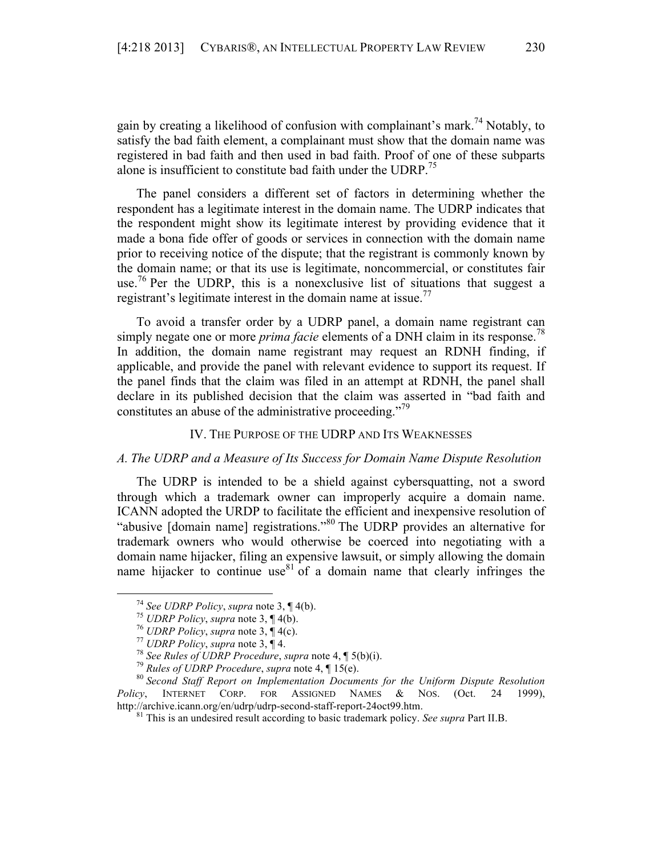gain by creating a likelihood of confusion with complainant's mark.<sup>74</sup> Notably, to satisfy the bad faith element, a complainant must show that the domain name was registered in bad faith and then used in bad faith. Proof of one of these subparts alone is insufficient to constitute bad faith under the UDRP.<sup>15</sup>

The panel considers a different set of factors in determining whether the respondent has a legitimate interest in the domain name. The UDRP indicates that the respondent might show its legitimate interest by providing evidence that it made a bona fide offer of goods or services in connection with the domain name prior to receiving notice of the dispute; that the registrant is commonly known by the domain name; or that its use is legitimate, noncommercial, or constitutes fair use.<sup>76</sup> Per the UDRP, this is a nonexclusive list of situations that suggest a registrant's legitimate interest in the domain name at issue.<sup>77</sup>

To avoid a transfer order by a UDRP panel, a domain name registrant can simply negate one or more *prima facie* elements of a DNH claim in its response.<sup>78</sup> In addition, the domain name registrant may request an RDNH finding, if applicable, and provide the panel with relevant evidence to support its request. If the panel finds that the claim was filed in an attempt at RDNH, the panel shall declare in its published decision that the claim was asserted in "bad faith and constitutes an abuse of the administrative proceeding."<sup>79</sup>

# IV. THE PURPOSE OF THE UDRP AND ITS WEAKNESSES

## *A. The UDRP and a Measure of Its Success for Domain Name Dispute Resolution*

The UDRP is intended to be a shield against cybersquatting, not a sword through which a trademark owner can improperly acquire a domain name. ICANN adopted the URDP to facilitate the efficient and inexpensive resolution of "abusive [domain name] registrations."<sup>80</sup> The UDRP provides an alternative for trademark owners who would otherwise be coerced into negotiating with a domain name hijacker, filing an expensive lawsuit, or simply allowing the domain name hijacker to continue use  $81 \text{ of a domain name that clearly infringes the}$ 

<sup>&</sup>lt;sup>74</sup> See UDRP Policy, supra note 3,  $\P$  4(b).<br><sup>75</sup> UDRP Policy, supra note 3,  $\P$  4(b).<br><sup>76</sup> UDRP Policy, supra note 3,  $\P$  4(c).<br><sup>77</sup> UDRP Policy, supra note 3,  $\P$  4.<br><sup>78</sup> See Rules of UDRP Procedure, supra note 4,  $\P$  *Policy*, INTERNET CORP. FOR ASSIGNED NAMES & NOS. (Oct. 24 1999), http://archive.icann.org/en/udrp/udrp-second-staff-report-24oct99.htm. <sup>81</sup> This is an undesired result according to basic trademark policy. *See supra* Part II.B.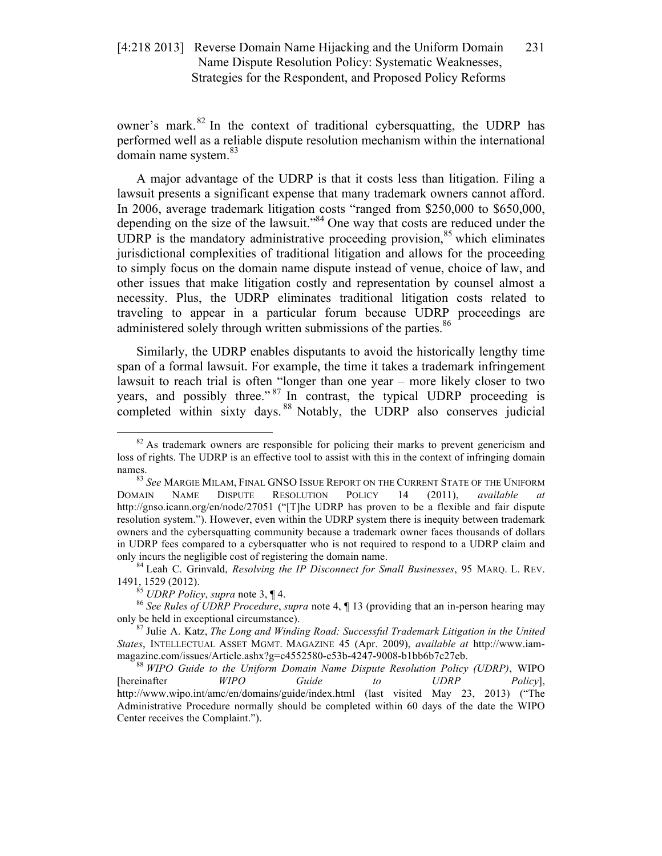owner's mark.<sup>82</sup> In the context of traditional cybersquatting, the UDRP has performed well as a reliable dispute resolution mechanism within the international domain name system.<sup>83</sup>

A major advantage of the UDRP is that it costs less than litigation. Filing a lawsuit presents a significant expense that many trademark owners cannot afford. In 2006, average trademark litigation costs "ranged from \$250,000 to \$650,000, depending on the size of the lawsuit." <sup>84</sup> One way that costs are reduced under the UDRP is the mandatory administrative proceeding provision,<sup>85</sup> which eliminates jurisdictional complexities of traditional litigation and allows for the proceeding to simply focus on the domain name dispute instead of venue, choice of law, and other issues that make litigation costly and representation by counsel almost a necessity. Plus, the UDRP eliminates traditional litigation costs related to traveling to appear in a particular forum because UDRP proceedings are administered solely through written submissions of the parties.<sup>86</sup>

Similarly, the UDRP enables disputants to avoid the historically lengthy time span of a formal lawsuit. For example, the time it takes a trademark infringement lawsuit to reach trial is often "longer than one year – more likely closer to two years, and possibly three."<sup>87</sup> In contrast, the typical UDRP proceeding is completed within sixty days.<sup>88</sup> Notably, the UDRP also conserves judicial

 $82$  As trademark owners are responsible for policing their marks to prevent genericism and loss of rights. The UDRP is an effective tool to assist with this in the context of infringing domain names.<br><sup>83</sup> *See* Margie Milam, Final GNSO Issue Report on the Current State of the Uniform

DOMAIN NAME DISPUTE RESOLUTION POLICY 14 (2011), *available at* http://gnso.icann.org/en/node/27051 ("[T]he UDRP has proven to be a flexible and fair dispute resolution system."). However, even within the UDRP system there is inequity between trademark owners and the cybersquatting community because a trademark owner faces thousands of dollars in UDRP fees compared to a cybersquatter who is not required to respond to a UDRP claim and

only incurs the negligible cost of registering the domain name.<br><sup>84</sup> Leah C. Grinvald, *Resolving the IP Disconnect for Small Businesses*, 95 MARQ. L. REV.<br>1491, 1529 (2012).

<sup>&</sup>lt;sup>85</sup> *UDRP Policy*, *supra* note 3, ¶ 4.<br><sup>86</sup> *See Rules of UDRP Procedure*, *supra* note 4, ¶ 13 (providing that an in-person hearing may only be held in exceptional circumstance). 87 Julie A. Katz, *The Long and Winding Road: Successful Trademark Litigation in the United* 

*States*, INTELLECTUAL ASSET MGMT. MAGAZINE 45 (Apr. 2009), *available at* http://www.iammagazine.com/issues/Article.ashx?g=c4552580-e53b-4247-9008-b1bb6b7c27eb. 88 *WIPO Guide to the Uniform Domain Name Dispute Resolution Policy (UDRP)*, WIPO

<sup>[</sup>hereinafter *WIPO Guide to UDRP Policy*], http://www.wipo.int/amc/en/domains/guide/index.html (last visited May 23, 2013) ("The Administrative Procedure normally should be completed within 60 days of the date the WIPO Center receives the Complaint.").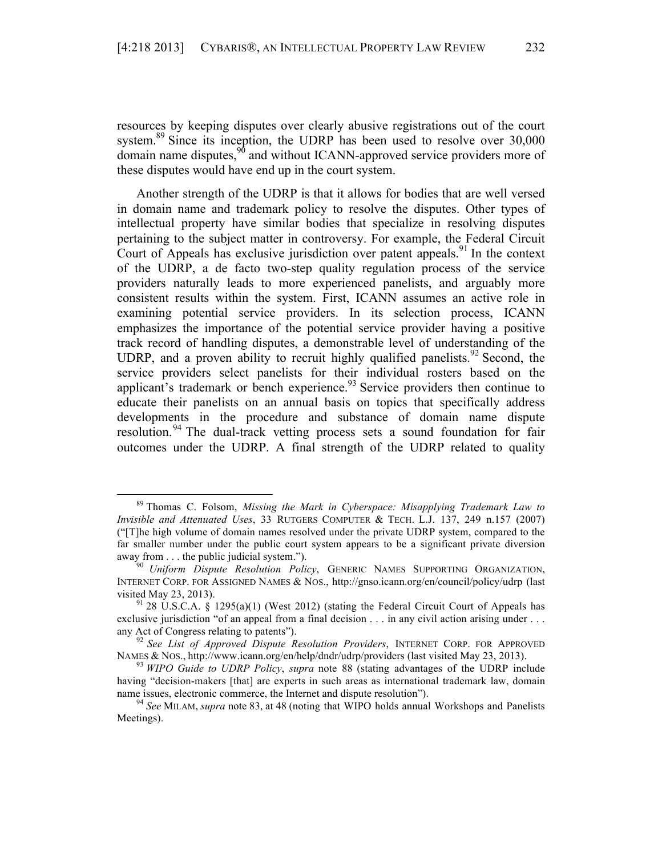resources by keeping disputes over clearly abusive registrations out of the court system.<sup>89</sup> Since its inception, the UDRP has been used to resolve over 30,000 domain name disputes,  $90$  and without ICANN-approved service providers more of these disputes would have end up in the court system.

Another strength of the UDRP is that it allows for bodies that are well versed in domain name and trademark policy to resolve the disputes. Other types of intellectual property have similar bodies that specialize in resolving disputes pertaining to the subject matter in controversy. For example, the Federal Circuit Court of Appeals has exclusive jurisdiction over patent appeals.<sup>91</sup> In the context of the UDRP, a de facto two-step quality regulation process of the service providers naturally leads to more experienced panelists, and arguably more consistent results within the system. First, ICANN assumes an active role in examining potential service providers. In its selection process, ICANN emphasizes the importance of the potential service provider having a positive track record of handling disputes, a demonstrable level of understanding of the UDRP, and a proven ability to recruit highly qualified panelists.<sup>92</sup> Second, the service providers select panelists for their individual rosters based on the applicant's trademark or bench experience. $93$  Service providers then continue to educate their panelists on an annual basis on topics that specifically address developments in the procedure and substance of domain name dispute resolution.<sup>94</sup> The dual-track vetting process sets a sound foundation for fair outcomes under the UDRP. A final strength of the UDRP related to quality

 <sup>89</sup> Thomas C. Folsom, *Missing the Mark in Cyberspace: Misapplying Trademark Law to Invisible and Attenuated Uses*, 33 RUTGERS COMPUTER & TECH. L.J. 137, 249 n.157 (2007) ("[T]he high volume of domain names resolved under the private UDRP system, compared to the far smaller number under the public court system appears to be a significant private diversion away from . . . the public judicial system.").<br><sup>90</sup> *Uniform Dispute Resolution Policy*, GENERIC NAMES SUPPORTING ORGANIZATION,

INTERNET CORP. FOR ASSIGNED NAMES & NOS., http://gnso.icann.org/en/council/policy/udrp (last visited May 23, 2013).<br><sup>91</sup> 28 U.S.C.A. § 1295(a)(1) (West 2012) (stating the Federal Circuit Court of Appeals has

exclusive jurisdiction "of an appeal from a final decision . . . in any civil action arising under . . .

any Act of Congress relating to patents").<br><sup>92</sup> *See List of Approved Dispute Resolution Providers*, INTERNET CORP. FOR APPROVED<br>NAMES & NOS., http://www.icann.org/en/help/dndr/udrp/providers (last visited May 23, 2013).

<sup>&</sup>lt;sup>93</sup> WIPO Guide to UDRP Policy, supra note 88 (stating advantages of the UDRP include having "decision-makers [that] are experts in such areas as international trademark law, domain name issues, electronic commerce, the Internet and dispute resolution").<br><sup>94</sup> *See* MILAM, *supra* note 83, at 48 (noting that WIPO holds annual Workshops and Panelists

Meetings).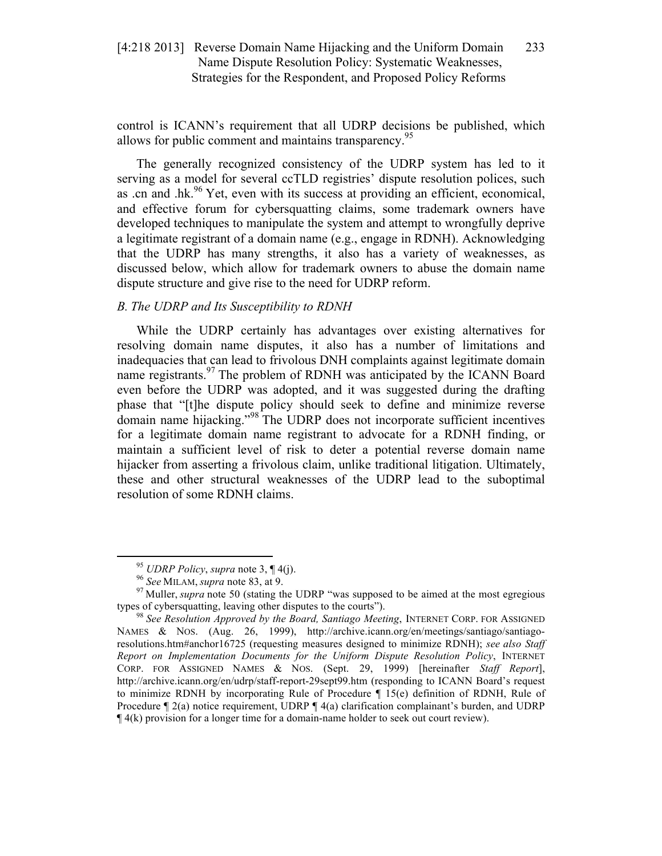control is ICANN's requirement that all UDRP decisions be published, which allows for public comment and maintains transparency.<sup>95</sup>

The generally recognized consistency of the UDRP system has led to it serving as a model for several ccTLD registries' dispute resolution polices, such as .cn and .hk. $96$  Yet, even with its success at providing an efficient, economical, and effective forum for cybersquatting claims, some trademark owners have developed techniques to manipulate the system and attempt to wrongfully deprive a legitimate registrant of a domain name (e.g., engage in RDNH). Acknowledging that the UDRP has many strengths, it also has a variety of weaknesses, as discussed below, which allow for trademark owners to abuse the domain name dispute structure and give rise to the need for UDRP reform.

# *B. The UDRP and Its Susceptibility to RDNH*

While the UDRP certainly has advantages over existing alternatives for resolving domain name disputes, it also has a number of limitations and inadequacies that can lead to frivolous DNH complaints against legitimate domain name registrants.<sup>97</sup> The problem of RDNH was anticipated by the ICANN Board even before the UDRP was adopted, and it was suggested during the drafting phase that "[t]he dispute policy should seek to define and minimize reverse domain name hijacking."<sup>98</sup> The UDRP does not incorporate sufficient incentives for a legitimate domain name registrant to advocate for a RDNH finding, or maintain a sufficient level of risk to deter a potential reverse domain name hijacker from asserting a frivolous claim, unlike traditional litigation. Ultimately, these and other structural weaknesses of the UDRP lead to the suboptimal resolution of some RDNH claims.

<sup>&</sup>lt;sup>95</sup> *UDRP Policy*, *supra* note 3, ¶ 4(j).<br><sup>96</sup> *See* MILAM, *supra* note 83, at 9.<br><sup>97</sup> Muller, *supra* note 50 (stating the UDRP "was supposed to be aimed at the most egregious types of cybersquatting, leaving other disputes to the courts").<br><sup>98</sup> *See Resolution Approved by the Board, Santiago Meeting*, INTERNET CORP. FOR ASSIGNED

NAMES & NOS. (Aug. 26, 1999), http://archive.icann.org/en/meetings/santiago/santiagoresolutions.htm#anchor16725 (requesting measures designed to minimize RDNH); *see also Staff Report on Implementation Documents for the Uniform Dispute Resolution Policy*, INTERNET CORP. FOR ASSIGNED NAMES & NOS. (Sept. 29, 1999) [hereinafter *Staff Report*], http://archive.icann.org/en/udrp/staff-report-29sept99.htm (responding to ICANN Board's request to minimize RDNH by incorporating Rule of Procedure ¶ 15(e) definition of RDNH, Rule of Procedure ¶ 2(a) notice requirement, UDRP ¶ 4(a) clarification complainant's burden, and UDRP ¶ 4(k) provision for a longer time for a domain-name holder to seek out court review).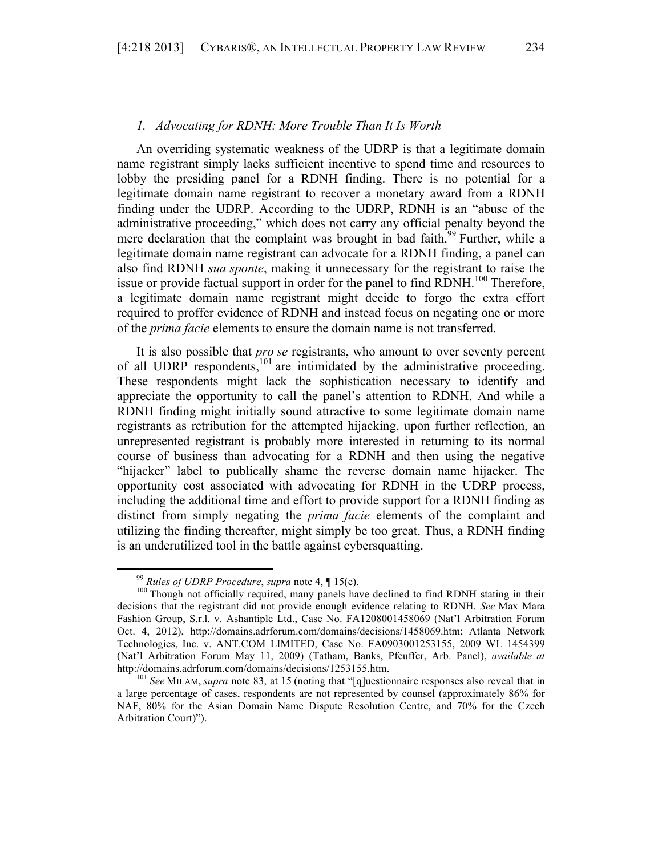#### *1. Advocating for RDNH: More Trouble Than It Is Worth*

An overriding systematic weakness of the UDRP is that a legitimate domain name registrant simply lacks sufficient incentive to spend time and resources to lobby the presiding panel for a RDNH finding. There is no potential for a legitimate domain name registrant to recover a monetary award from a RDNH finding under the UDRP. According to the UDRP, RDNH is an "abuse of the administrative proceeding," which does not carry any official penalty beyond the mere declaration that the complaint was brought in bad faith.<sup>99</sup> Further, while a legitimate domain name registrant can advocate for a RDNH finding, a panel can also find RDNH *sua sponte*, making it unnecessary for the registrant to raise the issue or provide factual support in order for the panel to find RDNH.<sup>100</sup> Therefore, a legitimate domain name registrant might decide to forgo the extra effort required to proffer evidence of RDNH and instead focus on negating one or more of the *prima facie* elements to ensure the domain name is not transferred.

It is also possible that *pro se* registrants, who amount to over seventy percent of all UDRP respondents, $101$  are intimidated by the administrative proceeding. These respondents might lack the sophistication necessary to identify and appreciate the opportunity to call the panel's attention to RDNH. And while a RDNH finding might initially sound attractive to some legitimate domain name registrants as retribution for the attempted hijacking, upon further reflection, an unrepresented registrant is probably more interested in returning to its normal course of business than advocating for a RDNH and then using the negative "hijacker" label to publically shame the reverse domain name hijacker. The opportunity cost associated with advocating for RDNH in the UDRP process, including the additional time and effort to provide support for a RDNH finding as distinct from simply negating the *prima facie* elements of the complaint and utilizing the finding thereafter, might simply be too great. Thus, a RDNH finding is an underutilized tool in the battle against cybersquatting.

<sup>&</sup>lt;sup>99</sup> *Rules of UDRP Procedure*, *supra* note 4, ¶ 15(e).<br><sup>100</sup> Though not officially required, many panels have declined to find RDNH stating in their decisions that the registrant did not provide enough evidence relating to RDNH. *See* Max Mara Fashion Group, S.r.l. v. Ashantiplc Ltd., Case No. FA1208001458069 (Nat'l Arbitration Forum Oct. 4, 2012), http://domains.adrforum.com/domains/decisions/1458069.htm; Atlanta Network Technologies, Inc. v. ANT.COM LIMITED, Case No. FA0903001253155, 2009 WL 1454399 (Nat'l Arbitration Forum May 11, 2009) (Tatham, Banks, Pfeuffer, Arb. Panel), *available at* http://domains.adrforum.com/domains/decisions/1253155.htm. 101 *See* MILAM, *supra* note 83, at 15 (noting that "[q]uestionnaire responses also reveal that in

a large percentage of cases, respondents are not represented by counsel (approximately 86% for NAF, 80% for the Asian Domain Name Dispute Resolution Centre, and 70% for the Czech Arbitration Court)").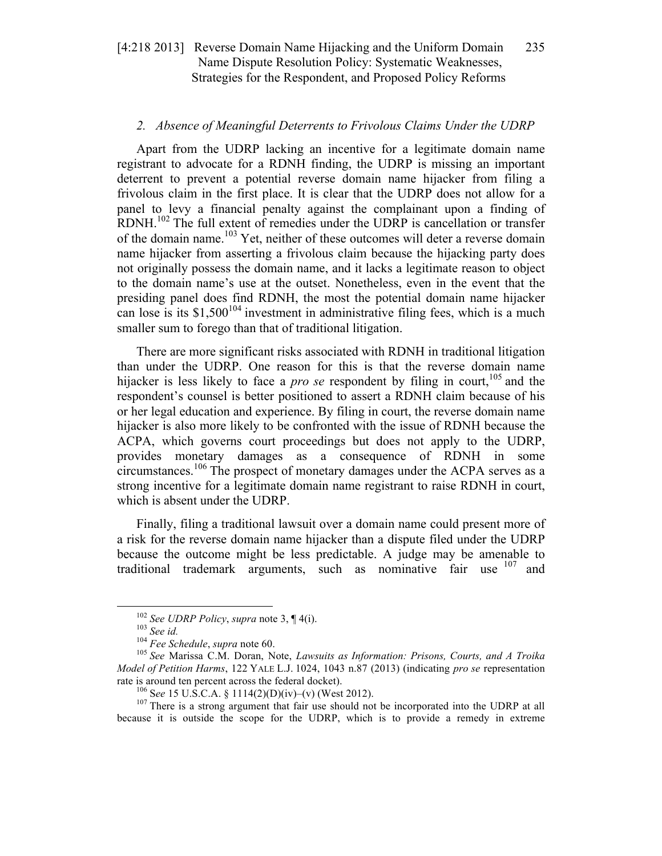# *2. Absence of Meaningful Deterrents to Frivolous Claims Under the UDRP*

Apart from the UDRP lacking an incentive for a legitimate domain name registrant to advocate for a RDNH finding, the UDRP is missing an important deterrent to prevent a potential reverse domain name hijacker from filing a frivolous claim in the first place. It is clear that the UDRP does not allow for a panel to levy a financial penalty against the complainant upon a finding of RDNH.<sup>102</sup> The full extent of remedies under the UDRP is cancellation or transfer of the domain name.<sup>103</sup> Yet, neither of these outcomes will deter a reverse domain name hijacker from asserting a frivolous claim because the hijacking party does not originally possess the domain name, and it lacks a legitimate reason to object to the domain name's use at the outset. Nonetheless, even in the event that the presiding panel does find RDNH, the most the potential domain name hijacker can lose is its  $$1,500^{104}$  investment in administrative filing fees, which is a much smaller sum to forego than that of traditional litigation.

There are more significant risks associated with RDNH in traditional litigation than under the UDRP. One reason for this is that the reverse domain name hijacker is less likely to face a *pro se* respondent by filing in court, <sup>105</sup> and the respondent's counsel is better positioned to assert a RDNH claim because of his or her legal education and experience. By filing in court, the reverse domain name hijacker is also more likely to be confronted with the issue of RDNH because the ACPA, which governs court proceedings but does not apply to the UDRP, provides monetary damages as a consequence of RDNH in some circumstances.<sup>106</sup> The prospect of monetary damages under the ACPA serves as a strong incentive for a legitimate domain name registrant to raise RDNH in court, which is absent under the UDRP.

Finally, filing a traditional lawsuit over a domain name could present more of a risk for the reverse domain name hijacker than a dispute filed under the UDRP because the outcome might be less predictable. A judge may be amenable to traditional trademark arguments, such as nominative fair use  $107$  and

<sup>&</sup>lt;sup>102</sup> See UDRP Policy, supra note 3,  $\P$  4(i).<br><sup>103</sup> See id.<br><sup>104</sup> Fee Schedule, supra note 60.<br><sup>105</sup> See Marissa C.M. Doran, Note, *Lawsuits as Information: Prisons, Courts, and A Troika Model of Petition Harms*, 122 YALE L.J. 1024, 1043 n.87 (2013) (indicating *pro se* representation rate is around ten percent across the federal docket).<br><sup>106</sup> See 15 U.S.C.A. § 1114(2)(D)(iv)–(v) (West 2012).<br><sup>107</sup> There is a strong argument that fair use should not be incorporated into the UDRP at all

because it is outside the scope for the UDRP, which is to provide a remedy in extreme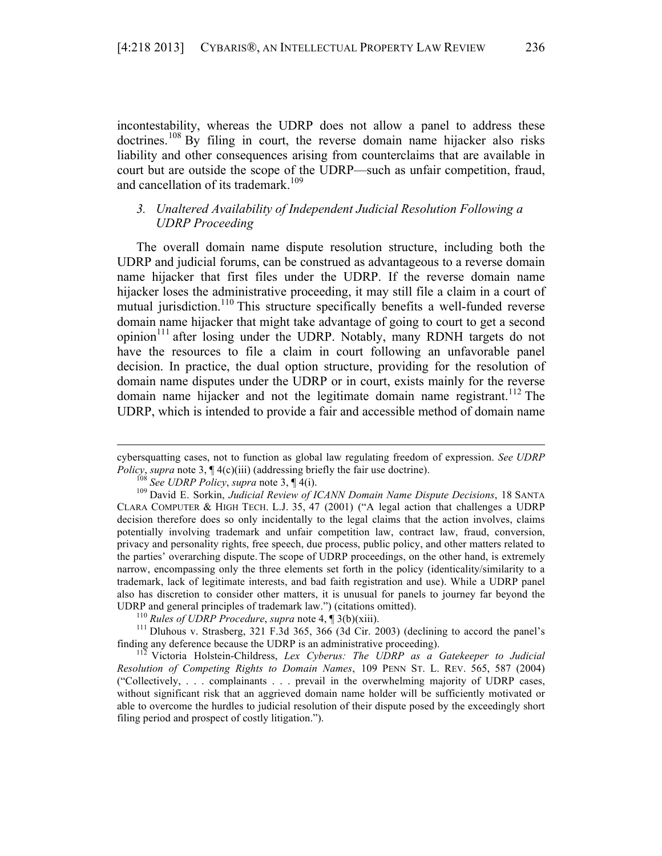incontestability, whereas the UDRP does not allow a panel to address these doctrines.<sup>108</sup> By filing in court, the reverse domain name hijacker also risks liability and other consequences arising from counterclaims that are available in court but are outside the scope of the UDRP—such as unfair competition, fraud, and cancellation of its trademark.<sup>109</sup>

# *3. Unaltered Availability of Independent Judicial Resolution Following a UDRP Proceeding*

The overall domain name dispute resolution structure, including both the UDRP and judicial forums, can be construed as advantageous to a reverse domain name hijacker that first files under the UDRP. If the reverse domain name hijacker loses the administrative proceeding, it may still file a claim in a court of mutual jurisdiction.<sup>110</sup> This structure specifically benefits a well-funded reverse domain name hijacker that might take advantage of going to court to get a second opinion<sup>111</sup> after losing under the UDRP. Notably, many RDNH targets do not have the resources to file a claim in court following an unfavorable panel decision. In practice, the dual option structure, providing for the resolution of domain name disputes under the UDRP or in court, exists mainly for the reverse domain name hijacker and not the legitimate domain name registrant. <sup>112</sup> The UDRP, which is intended to provide a fair and accessible method of domain name

<sup>&</sup>lt;u> Alexandria de la contrada de la contrada de la contrada de la contrada de la contrada de la contrada de la c</u> cybersquatting cases, not to function as global law regulating freedom of expression. *See UDRP*  Policy, supra note 3,  $\P$  4(c)(iii) (addressing briefly the fair use doctrine).<br><sup>108</sup> See UDRP Policy, supra note 3,  $\P$  4(i).<br><sup>109</sup> David E. Sorkin, Judicial Review of ICANN Domain Name Dispute Decisions, 18 SANTA

CLARA COMPUTER & HIGH TECH. L.J. 35, 47 (2001) ("A legal action that challenges a UDRP decision therefore does so only incidentally to the legal claims that the action involves, claims potentially involving trademark and unfair competition law, contract law, fraud, conversion, privacy and personality rights, free speech, due process, public policy, and other matters related to the parties' overarching dispute. The scope of UDRP proceedings, on the other hand, is extremely narrow, encompassing only the three elements set forth in the policy (identicality/similarity to a trademark, lack of legitimate interests, and bad faith registration and use). While a UDRP panel also has discretion to consider other matters, it is unusual for panels to journey far beyond the UDRP and general principles of trademark law.") (citations omitted).<br><sup>110</sup> Rules of UDRP Procedure, supra note 4,  $\P$ 3(b)(xiii).<br><sup>111</sup> Dluhous v. Strasberg, 321 F.3d 365, 366 (3d Cir. 2003) (declining to accord the panel'

finding any deference because the UDRP is an administrative proceeding). 112 Victoria Holstein-Childress, *Lex Cyberus: The UDRP as a Gatekeeper to Judicial* 

*Resolution of Competing Rights to Domain Names*, 109 PENN ST. L. REV. 565, 587 (2004) ("Collectively, . . . complainants . . . prevail in the overwhelming majority of UDRP cases, without significant risk that an aggrieved domain name holder will be sufficiently motivated or able to overcome the hurdles to judicial resolution of their dispute posed by the exceedingly short filing period and prospect of costly litigation.").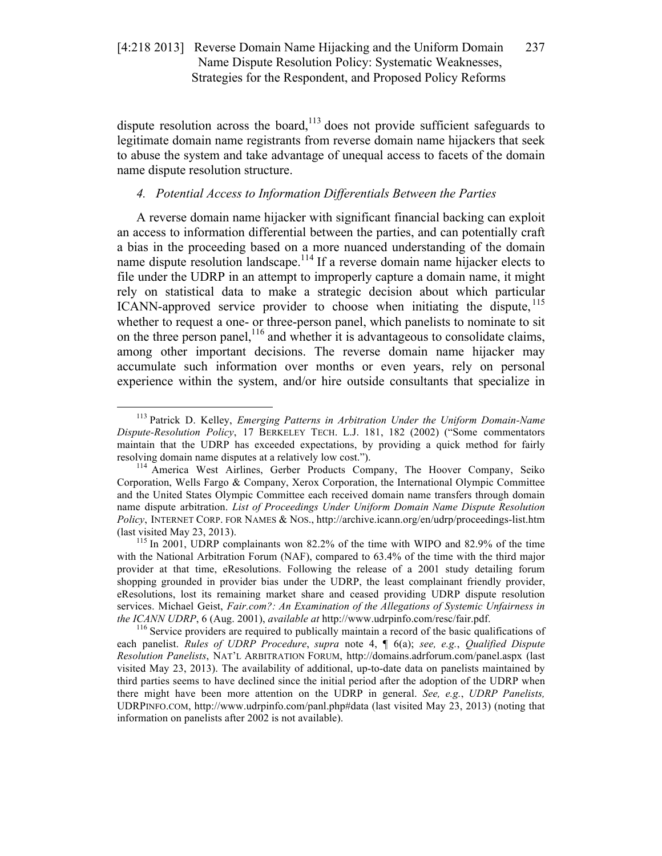dispute resolution across the board, $113$  does not provide sufficient safeguards to legitimate domain name registrants from reverse domain name hijackers that seek to abuse the system and take advantage of unequal access to facets of the domain name dispute resolution structure.

# *4. Potential Access to Information Differentials Between the Parties*

A reverse domain name hijacker with significant financial backing can exploit an access to information differential between the parties, and can potentially craft a bias in the proceeding based on a more nuanced understanding of the domain name dispute resolution landscape.<sup>114</sup> If a reverse domain name hijacker elects to file under the UDRP in an attempt to improperly capture a domain name, it might rely on statistical data to make a strategic decision about which particular ICANN-approved service provider to choose when initiating the dispute, <sup>115</sup> whether to request a one- or three-person panel, which panelists to nominate to sit on the three person panel,  $^{116}$  and whether it is advantageous to consolidate claims, among other important decisions. The reverse domain name hijacker may accumulate such information over months or even years, rely on personal experience within the system, and/or hire outside consultants that specialize in

each panelist. *Rules of UDRP Procedure*, *supra* note 4, ¶ 6(a); *see, e.g.*, *Qualified Dispute Resolution Panelists*, NAT'L ARBITRATION FORUM, http://domains.adrforum.com/panel.aspx (last visited May 23, 2013). The availability of additional, up-to-date data on panelists maintained by third parties seems to have declined since the initial period after the adoption of the UDRP when there might have been more attention on the UDRP in general. *See, e.g.*, *UDRP Panelists,* UDRPINFO.COM, http://www.udrpinfo.com/panl.php#data (last visited May 23, 2013) (noting that information on panelists after 2002 is not available).

 <sup>113</sup> Patrick D. Kelley, *Emerging Patterns in Arbitration Under the Uniform Domain-Name Dispute-Resolution Policy*, 17 BERKELEY TECH. L.J. 181, 182 (2002) ("Some commentators maintain that the UDRP has exceeded expectations, by providing a quick method for fairly resolving domain name disputes at a relatively low cost."). <sup>114</sup> America West Airlines, Gerber Products Company, The Hoover Company, Seiko

Corporation, Wells Fargo & Company, Xerox Corporation, the International Olympic Committee and the United States Olympic Committee each received domain name transfers through domain name dispute arbitration. *List of Proceedings Under Uniform Domain Name Dispute Resolution Policy*, INTERNET CORP. FOR NAMES & NOS., http://archive.icann.org/en/udrp/proceedings-list.htm (last visited May 23, 2013).  $115$  In 2001, UDRP complainants won 82.2% of the time with WIPO and 82.9% of the time

with the National Arbitration Forum (NAF), compared to 63.4% of the time with the third major provider at that time, eResolutions. Following the release of a 2001 study detailing forum shopping grounded in provider bias under the UDRP, the least complainant friendly provider, eResolutions, lost its remaining market share and ceased providing UDRP dispute resolution services. Michael Geist, *Fair.com?: An Examination of the Allegations of Systemic Unfairness in the ICANN UDRP*, 6 (Aug. 2001), *available at* http://www.udrpinfo.com/resc/fair.pdf.<br><sup>116</sup> Service providers are required to publically maintain a record of the basic qualifications of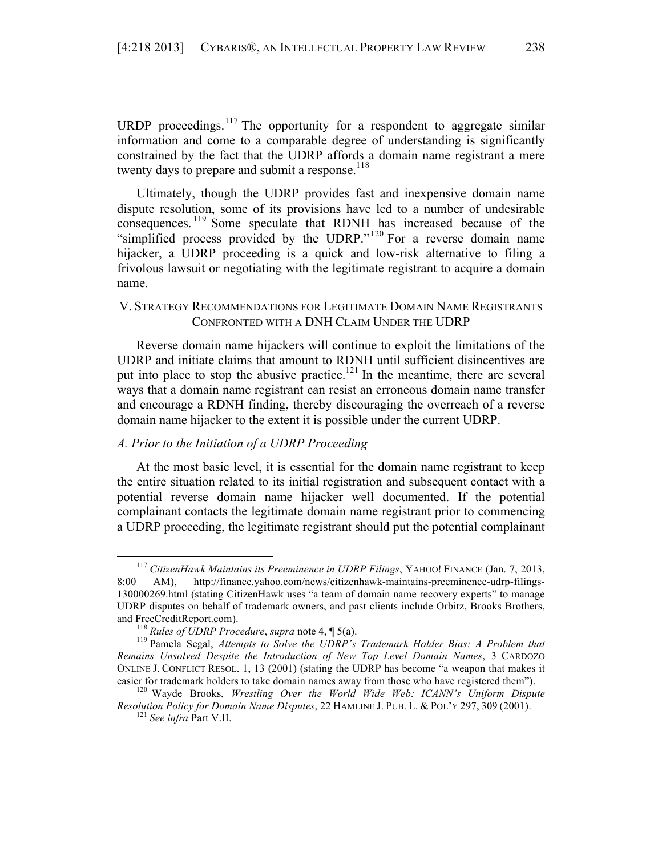URDP proceedings.<sup>117</sup> The opportunity for a respondent to aggregate similar information and come to a comparable degree of understanding is significantly constrained by the fact that the UDRP affords a domain name registrant a mere twenty days to prepare and submit a response.<sup>118</sup>

Ultimately, though the UDRP provides fast and inexpensive domain name dispute resolution, some of its provisions have led to a number of undesirable consequences. <sup>119</sup> Some speculate that RDNH has increased because of the "simplified process provided by the UDRP."<sup>120</sup> For a reverse domain name hijacker, a UDRP proceeding is a quick and low-risk alternative to filing a frivolous lawsuit or negotiating with the legitimate registrant to acquire a domain name.

# V. STRATEGY RECOMMENDATIONS FOR LEGITIMATE DOMAIN NAME REGISTRANTS CONFRONTED WITH A DNH CLAIM UNDER THE UDRP

Reverse domain name hijackers will continue to exploit the limitations of the UDRP and initiate claims that amount to RDNH until sufficient disincentives are put into place to stop the abusive practice.<sup>121</sup> In the meantime, there are several ways that a domain name registrant can resist an erroneous domain name transfer and encourage a RDNH finding, thereby discouraging the overreach of a reverse domain name hijacker to the extent it is possible under the current UDRP.

# *A. Prior to the Initiation of a UDRP Proceeding*

At the most basic level, it is essential for the domain name registrant to keep the entire situation related to its initial registration and subsequent contact with a potential reverse domain name hijacker well documented. If the potential complainant contacts the legitimate domain name registrant prior to commencing a UDRP proceeding, the legitimate registrant should put the potential complainant

 <sup>117</sup> *CitizenHawk Maintains its Preeminence in UDRP Filings*, YAHOO! FINANCE (Jan. 7, 2013, 8:00 AM), http://finance.yahoo.com/news/citizenhawk-maintains-preeminence-udrp-filings-130000269.html (stating CitizenHawk uses "a team of domain name recovery experts" to manage UDRP disputes on behalf of trademark owners, and past clients include Orbitz, Brooks Brothers, and FreeCreditReport.com).<br><sup>118</sup> *Rules of UDRP Procedure*, *supra* note 4, ¶ 5(a).<br><sup>119</sup> Pamela Segal, *Attempts to Solve the UDRP's Trademark Holder Bias: A Problem that* 

*Remains Unsolved Despite the Introduction of New Top Level Domain Names*, 3 CARDOZO ONLINE J. CONFLICT RESOL. 1, 13 (2001) (stating the UDRP has become "a weapon that makes it easier for trademark holders to take domain names away from those who have registered them"). <sup>120</sup> Wayde Brooks, *Wrestling Over the World Wide Web: ICANN's Uniform Dispute* 

*Resolution Policy for Domain Name Disputes*, 22 HAMLINE J. PUB. L. & POL'Y 297, <sup>309</sup> (2001). 121 *See infra* Part V.II.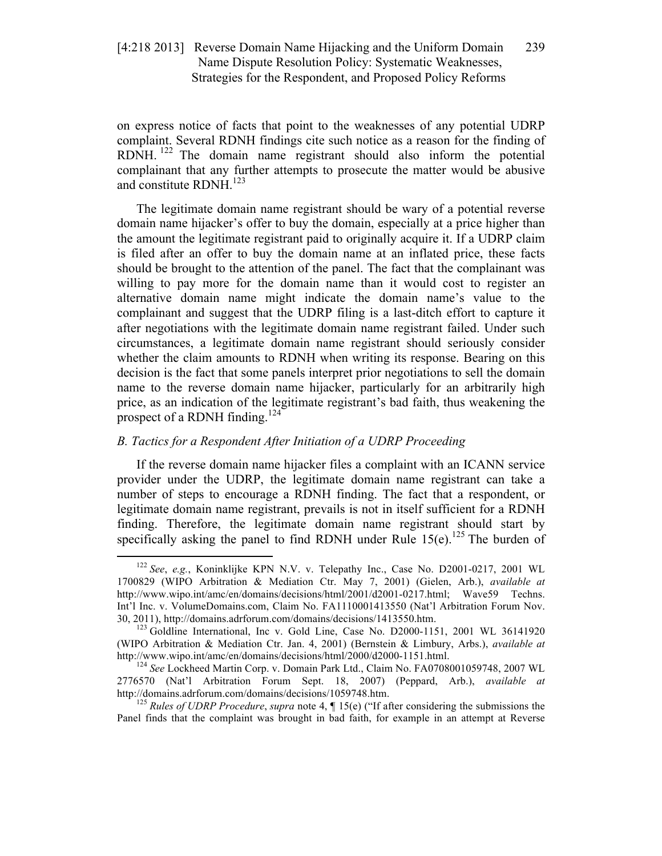on express notice of facts that point to the weaknesses of any potential UDRP complaint. Several RDNH findings cite such notice as a reason for the finding of RDNH.<sup>122</sup> The domain name registrant should also inform the potential complainant that any further attempts to prosecute the matter would be abusive and constitute RDNH.<sup>123</sup>

The legitimate domain name registrant should be wary of a potential reverse domain name hijacker's offer to buy the domain, especially at a price higher than the amount the legitimate registrant paid to originally acquire it. If a UDRP claim is filed after an offer to buy the domain name at an inflated price, these facts should be brought to the attention of the panel. The fact that the complainant was willing to pay more for the domain name than it would cost to register an alternative domain name might indicate the domain name's value to the complainant and suggest that the UDRP filing is a last-ditch effort to capture it after negotiations with the legitimate domain name registrant failed. Under such circumstances, a legitimate domain name registrant should seriously consider whether the claim amounts to RDNH when writing its response. Bearing on this decision is the fact that some panels interpret prior negotiations to sell the domain name to the reverse domain name hijacker, particularly for an arbitrarily high price, as an indication of the legitimate registrant's bad faith, thus weakening the prospect of a RDNH finding.<sup>124</sup>

# *B. Tactics for a Respondent After Initiation of a UDRP Proceeding*

If the reverse domain name hijacker files a complaint with an ICANN service provider under the UDRP, the legitimate domain name registrant can take a number of steps to encourage a RDNH finding. The fact that a respondent, or legitimate domain name registrant, prevails is not in itself sufficient for a RDNH finding. Therefore, the legitimate domain name registrant should start by specifically asking the panel to find RDNH under Rule  $15(e)$ .<sup>125</sup> The burden of

 <sup>122</sup> *See*, *e.g.*, Koninklijke KPN N.V. v. Telepathy Inc., Case No. D2001-0217, 2001 WL 1700829 (WIPO Arbitration & Mediation Ctr. May 7, 2001) (Gielen, Arb.), *available at* http://www.wipo.int/amc/en/domains/decisions/html/2001/d2001-0217.html; Wave59 Techns. Int'l Inc. v. VolumeDomains.com, Claim No. FA1110001413550 (Nat'l Arbitration Forum Nov. 30, 2011), http://domains.adrforum.com/domains/decisions/1413550.htm. <sup>123</sup> Goldline International, Inc v. Gold Line, Case No. D2000-1151, 2001 WL 36141920

<sup>(</sup>WIPO Arbitration & Mediation Ctr. Jan. 4, 2001) (Bernstein & Limbury, Arbs.), *available at* http://www.wipo.int/amc/en/domains/decisions/html/2000/d2000-1151.html. 124 *See* Lockheed Martin Corp. v. Domain Park Ltd., Claim No. FA0708001059748, 2007 WL

<sup>2776570 (</sup>Nat'l Arbitration Forum Sept. 18, 2007) (Peppard, Arb.), *available at* http://domains.adrforum.com/domains/decisions/1059748.htm. <sup>125</sup> *Rules of UDRP Procedure*, *supra* note 4, ¶ 15(e) ("If after considering the submissions the

Panel finds that the complaint was brought in bad faith, for example in an attempt at Reverse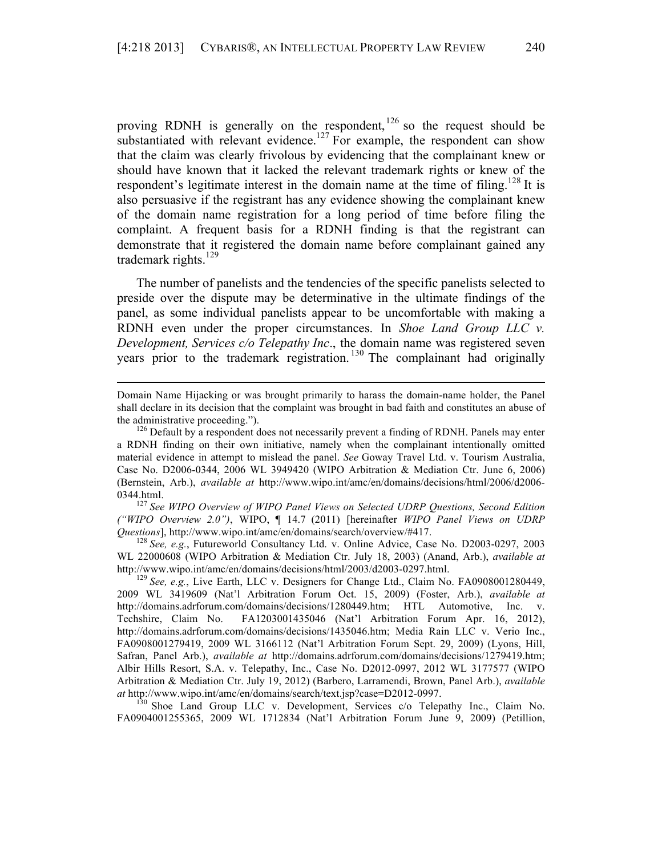proving RDNH is generally on the respondent,  $126$  so the request should be substantiated with relevant evidence.<sup>127</sup> For example, the respondent can show that the claim was clearly frivolous by evidencing that the complainant knew or should have known that it lacked the relevant trademark rights or knew of the respondent's legitimate interest in the domain name at the time of filing.<sup>128</sup> It is also persuasive if the registrant has any evidence showing the complainant knew of the domain name registration for a long period of time before filing the complaint. A frequent basis for a RDNH finding is that the registrant can demonstrate that it registered the domain name before complainant gained any trademark rights. $129$ 

The number of panelists and the tendencies of the specific panelists selected to preside over the dispute may be determinative in the ultimate findings of the panel, as some individual panelists appear to be uncomfortable with making a RDNH even under the proper circumstances. In *Shoe Land Group LLC v. Development, Services c/o Telepathy Inc*., the domain name was registered seven years prior to the trademark registration.<sup>130</sup> The complainant had originally

<u> 2002 - Andrea San Andrew Maria (h. 1888).</u><br>2003 - Andrew Maria (h. 1882).

*("WIPO Overview 2.0")*, WIPO, ¶ 14.7 (2011) [hereinafter *WIPO Panel Views on UDRP Questions*], http://www.wipo.int/amc/en/domains/search/overview/#417. 128 *See, e.g.*, Futureworld Consultancy Ltd. v. Online Advice, Case No. D2003-0297, 2003

WL 22000608 (WIPO Arbitration & Mediation Ctr. July 18, 2003) (Anand, Arb.), *available at* http://www.wipo.int/amc/en/domains/decisions/html/2003/d2003-0297.html. 129 *See, e.g.*, Live Earth, LLC v. Designers for Change Ltd., Claim No. FA0908001280449,

FA0904001255365, 2009 WL 1712834 (Nat'l Arbitration Forum June 9, 2009) (Petillion,

Domain Name Hijacking or was brought primarily to harass the domain-name holder, the Panel shall declare in its decision that the complaint was brought in bad faith and constitutes an abuse of the administrative proceeding.").  $126$  Default by a respondent does not necessarily prevent a finding of RDNH. Panels may enter

a RDNH finding on their own initiative, namely when the complainant intentionally omitted material evidence in attempt to mislead the panel. *See* Goway Travel Ltd. v. Tourism Australia, Case No. D2006-0344, 2006 WL 3949420 (WIPO Arbitration & Mediation Ctr. June 6, 2006) (Bernstein, Arb.), *available at* http://www.wipo.int/amc/en/domains/decisions/html/2006/d2006- 0344.html.<br><sup>127</sup> *See WIPO Overview of WIPO Panel Views on Selected UDRP Questions, Second Edition* 

<sup>2009</sup> WL 3419609 (Nat'l Arbitration Forum Oct. 15, 2009) (Foster, Arb.), *available at* http://domains.adrforum.com/domains/decisions/1280449.htm; HTL Automotive, Inc. v. Techshire, Claim No. FA1203001435046 (Nat'l Arbitration Forum Apr. 16, 2012), http://domains.adrforum.com/domains/decisions/1435046.htm; Media Rain LLC v. Verio Inc., FA0908001279419, 2009 WL 3166112 (Nat'l Arbitration Forum Sept. 29, 2009) (Lyons, Hill, Safran, Panel Arb.), *available at* http://domains.adrforum.com/domains/decisions/1279419.htm; Albir Hills Resort, S.A. v. Telepathy, Inc., Case No. D2012-0997, 2012 WL 3177577 (WIPO Arbitration & Mediation Ctr. July 19, 2012) (Barbero, Larramendi, Brown, Panel Arb.), *available at* http://www.wipo.int/amc/en/domains/search/text.jsp?case=D2012-0997. 130 Shoe Land Group LLC v. Development, Services c/o Telepathy Inc., Claim No.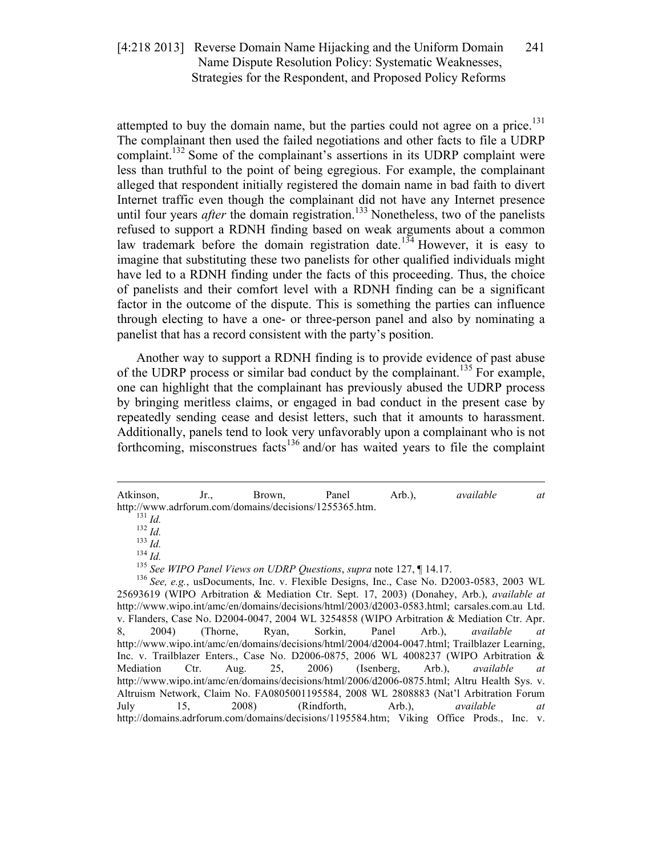attempted to buy the domain name, but the parties could not agree on a price. $^{131}$ The complainant then used the failed negotiations and other facts to file a UDRP complaint.<sup>132</sup> Some of the complainant's assertions in its UDRP complaint were less than truthful to the point of being egregious. For example, the complainant alleged that respondent initially registered the domain name in bad faith to divert Internet traffic even though the complainant did not have any Internet presence until four years *after* the domain registration.<sup>133</sup> Nonetheless, two of the panelists refused to support a RDNH finding based on weak arguments about a common law trademark before the domain registration date.<sup>134</sup> However, it is easy to imagine that substituting these two panelists for other qualified individuals might have led to a RDNH finding under the facts of this proceeding. Thus, the choice of panelists and their comfort level with a RDNH finding can be a significant factor in the outcome of the dispute. This is something the parties can influence through electing to have a one- or three-person panel and also by nominating a panelist that has a record consistent with the party's position.

Another way to support a RDNH finding is to provide evidence of past abuse of the UDRP process or similar bad conduct by the complainant.<sup>135</sup> For example, one can highlight that the complainant has previously abused the UDRP process by bringing meritless claims, or engaged in bad conduct in the present case by repeatedly sending cease and desist letters, such that it amounts to harassment. Additionally, panels tend to look very unfavorably upon a complainant who is not forthcoming, misconstrues facts<sup>136</sup> and/or has waited years to file the complaint

<sup>&</sup>lt;u> Alexandria de la contrada de la contrada de la contrada de la contrada de la contrada de la contrada de la c</u> Atkinson, Jr., Brown, Panel Arb.), *available at* http://www.adrforum.com/domains/decisions/1255365.htm.<br>
<sup>131</sup> *Id.*<br>
<sup>132</sup> *Id.*<br>
<sup>133</sup> *Id.*<br>
<sup>134</sup> *Id.*<br>
<sup>134</sup> *Id.*<br>
<sup>135</sup> *See WIPO Panel Views on UDRP Questions, supra note* 127, ¶ 14.17.<br>
<sup>136</sup> *See, e.g.*, usDocum

<sup>25693619 (</sup>WIPO Arbitration & Mediation Ctr. Sept. 17, 2003) (Donahey, Arb.), *available at*  http://www.wipo.int/amc/en/domains/decisions/html/2003/d2003-0583.html; carsales.com.au Ltd. v. Flanders, Case No. D2004-0047, 2004 WL 3254858 (WIPO Arbitration & Mediation Ctr. Apr. 8, 2004) (Thorne, Ryan, Sorkin, Panel Arb.), *available at* http://www.wipo.int/amc/en/domains/decisions/html/2004/d2004-0047.html; Trailblazer Learning, Inc. v. Trailblazer Enters., Case No. D2006-0875, 2006 WL 4008237 (WIPO Arbitration & Mediation Ctr. Aug. 25, 2006) (Isenberg, Arb.), *available at* http://www.wipo.int/amc/en/domains/decisions/html/2006/d2006-0875.html; Altru Health Sys. v. Altruism Network, Claim No. FA0805001195584, 2008 WL 2808883 (Nat'l Arbitration Forum July 15, 2008) (Rindforth, Arb.), *available at* http://domains.adrforum.com/domains/decisions/1195584.htm; Viking Office Prods., Inc. v.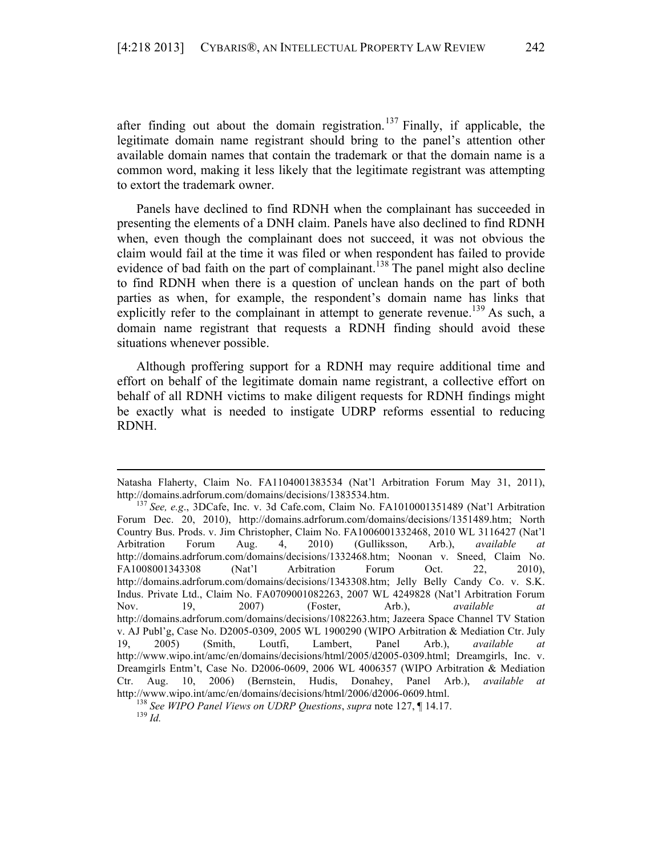after finding out about the domain registration.<sup>137</sup> Finally, if applicable, the legitimate domain name registrant should bring to the panel's attention other available domain names that contain the trademark or that the domain name is a common word, making it less likely that the legitimate registrant was attempting to extort the trademark owner.

Panels have declined to find RDNH when the complainant has succeeded in presenting the elements of a DNH claim. Panels have also declined to find RDNH when, even though the complainant does not succeed, it was not obvious the claim would fail at the time it was filed or when respondent has failed to provide evidence of bad faith on the part of complainant.<sup>138</sup> The panel might also decline to find RDNH when there is a question of unclean hands on the part of both parties as when, for example, the respondent's domain name has links that explicitly refer to the complainant in attempt to generate revenue.<sup>139</sup> As such, a domain name registrant that requests a RDNH finding should avoid these situations whenever possible.

Although proffering support for a RDNH may require additional time and effort on behalf of the legitimate domain name registrant, a collective effort on behalf of all RDNH victims to make diligent requests for RDNH findings might be exactly what is needed to instigate UDRP reforms essential to reducing RDNH.

<sup>&</sup>lt;u> 2002 - Andrea San Andrew Maria (h. 1888).</u><br>2003 - Andrew Maria (h. 1882). Natasha Flaherty, Claim No. FA1104001383534 (Nat'l Arbitration Forum May 31, 2011), http://domains.adrforum.com/domains/decisions/1383534.htm. 137 *See, e.g*., 3DCafe, Inc. v. 3d Cafe.com, Claim No. FA1010001351489 (Nat'l Arbitration

Forum Dec. 20, 2010), http://domains.adrforum.com/domains/decisions/1351489.htm; North Country Bus. Prods. v. Jim Christopher, Claim No. FA1006001332468, 2010 WL 3116427 (Nat'l Arbitration Forum Aug. 4, 2010) (Gulliksson, Arb.), *available at* http://domains.adrforum.com/domains/decisions/1332468.htm; Noonan v. Sneed, Claim No. FA1008001343308 (Nat'l Arbitration Forum Oct. 22, 2010), http://domains.adrforum.com/domains/decisions/1343308.htm; Jelly Belly Candy Co. v. S.K. Indus. Private Ltd., Claim No. FA0709001082263, 2007 WL 4249828 (Nat'l Arbitration Forum Nov. 19, 2007) (Foster, Arb.), *available at* http://domains.adrforum.com/domains/decisions/1082263.htm; Jazeera Space Channel TV Station v. AJ Publ'g, Case No. D2005-0309, 2005 WL 1900290 (WIPO Arbitration & Mediation Ctr. July 19, 2005) (Smith, Loutfi, Lambert, Panel Arb.), *available at* http://www.wipo.int/amc/en/domains/decisions/html/2005/d2005-0309.html; Dreamgirls, Inc. v. Dreamgirls Entm't, Case No. D2006-0609, 2006 WL 4006357 (WIPO Arbitration & Mediation Ctr. Aug. 10, 2006) (Bernstein, Hudis, Donahey, Panel Arb.), *available at*

http://www.wipo.int/amc/en/domains/decisions/html/2006/d2006-0609.html. 138 *See WIPO Panel Views on UDRP Questions*, *supra* note 127, ¶ 14.17. <sup>139</sup> *Id.*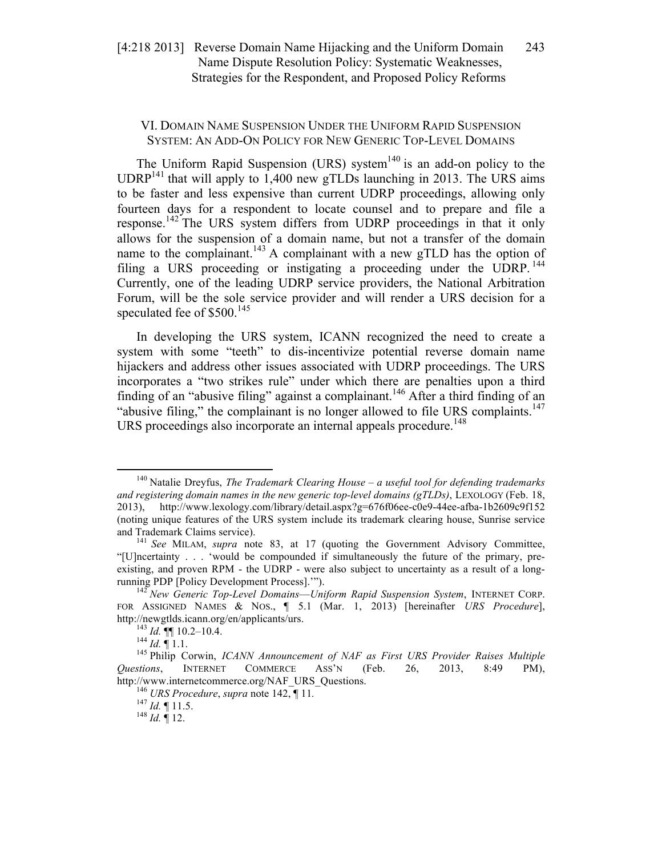# VI. DOMAIN NAME SUSPENSION UNDER THE UNIFORM RAPID SUSPENSION SYSTEM: AN ADD-ON POLICY FOR NEW GENERIC TOP-LEVEL DOMAINS

The Uniform Rapid Suspension (URS) system<sup>140</sup> is an add-on policy to the  $UDRP<sup>141</sup>$  that will apply to 1,400 new gTLDs launching in 2013. The URS aims to be faster and less expensive than current UDRP proceedings, allowing only fourteen days for a respondent to locate counsel and to prepare and file a response.<sup>142</sup> The URS system differs from UDRP proceedings in that it only allows for the suspension of a domain name, but not a transfer of the domain name to the complainant.<sup>143</sup> A complainant with a new gTLD has the option of filing a URS proceeding or instigating a proceeding under the UDRP.<sup>144</sup> Currently, one of the leading UDRP service providers, the National Arbitration Forum, will be the sole service provider and will render a URS decision for a speculated fee of  $$500.<sup>145</sup>$ 

In developing the URS system, ICANN recognized the need to create a system with some "teeth" to dis-incentivize potential reverse domain name hijackers and address other issues associated with UDRP proceedings. The URS incorporates a "two strikes rule" under which there are penalties upon a third finding of an "abusive filing" against a complainant.<sup>146</sup> After a third finding of an "abusive filing," the complainant is no longer allowed to file URS complaints.<sup>147</sup> URS proceedings also incorporate an internal appeals procedure.<sup>148</sup>

 <sup>140</sup> Natalie Dreyfus, *The Trademark Clearing House – a useful tool for defending trademarks and registering domain names in the new generic top-level domains (gTLDs)*, LEXOLOGY (Feb. 18, 2013), http://www.lexology.com/library/detail.aspx?g=676f06ee-c0e9-44ee-afba-1b2609c9f152 (noting unique features of the URS system include its trademark clearing house, Sunrise service and Trademark Claims service). 141 *See* MILAM, *supra* note 83, at 17 (quoting the Government Advisory Committee,

<sup>&</sup>quot;[U]ncertainty . . . 'would be compounded if simultaneously the future of the primary, preexisting, and proven RPM - the UDRP - were also subject to uncertainty as a result of a longrunning PDP [Policy Development Process].'"). <sup>142</sup> *New Generic Top-Level Domains*—*Uniform Rapid Suspension System*, INTERNET CORP.

FOR ASSIGNED NAMES & NOS., ¶ 5.1 (Mar. 1, 2013) [hereinafter *URS Procedure*], http://newgtlds.icann.org/en/applicants/urs.<br><sup>143</sup> *Id.* ¶¶ 10.2–10.4.<br><sup>145</sup> Philip Corwin, *ICANN Announcement of NAF as First URS Provider Raises Multiple* 

*Questions*, INTERNET COMMERCE ASS'N (Feb. 26, 2013, 8:49 PM), http://www.internetcommerce.org/NAF\_URS\_Questions.<br><sup>146</sup> *URS Procedure*, *supra* note 142, ¶ 11.<br><sup>147</sup> *Id.* ¶ 11.5.<br>*Id.* ¶ 12.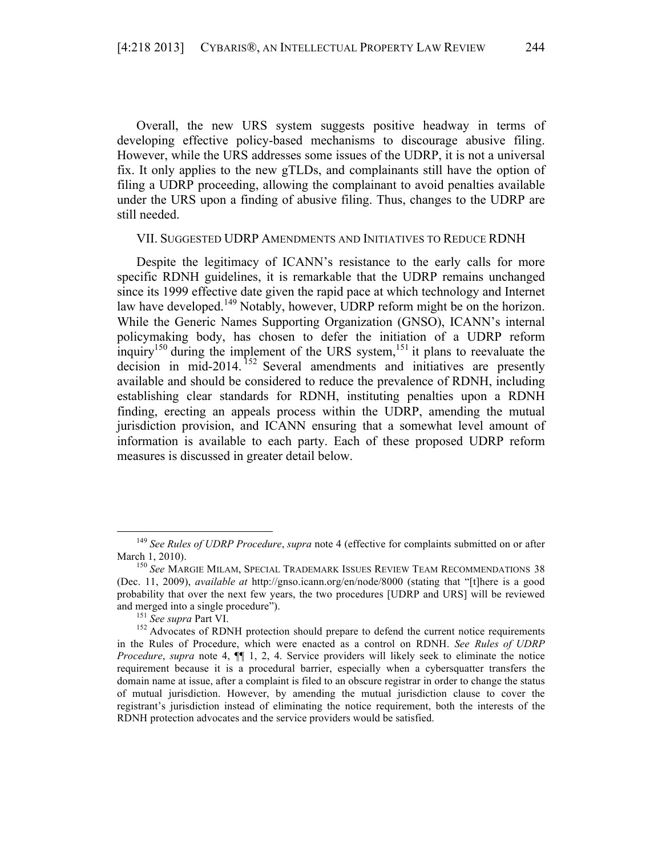Overall, the new URS system suggests positive headway in terms of developing effective policy-based mechanisms to discourage abusive filing. However, while the URS addresses some issues of the UDRP, it is not a universal fix. It only applies to the new gTLDs, and complainants still have the option of filing a UDRP proceeding, allowing the complainant to avoid penalties available under the URS upon a finding of abusive filing. Thus, changes to the UDRP are still needed.

#### VII. SUGGESTED UDRP AMENDMENTS AND INITIATIVES TO REDUCE RDNH

Despite the legitimacy of ICANN's resistance to the early calls for more specific RDNH guidelines, it is remarkable that the UDRP remains unchanged since its 1999 effective date given the rapid pace at which technology and Internet law have developed.<sup>149</sup> Notably, however, UDRP reform might be on the horizon. While the Generic Names Supporting Organization (GNSO), ICANN's internal policymaking body, has chosen to defer the initiation of a UDRP reform inquiry<sup>150</sup> during the implement of the URS system,<sup>151</sup> it plans to reevaluate the decision in mid-2014.<sup>152</sup> Several amendments and initiatives are presently available and should be considered to reduce the prevalence of RDNH, including establishing clear standards for RDNH, instituting penalties upon a RDNH finding, erecting an appeals process within the UDRP, amending the mutual jurisdiction provision, and ICANN ensuring that a somewhat level amount of information is available to each party. Each of these proposed UDRP reform measures is discussed in greater detail below.

 <sup>149</sup> *See Rules of UDRP Procedure*, *supra* note 4 (effective for complaints submitted on or after March 1, 2010).<br><sup>150</sup> *See* Margie Milam, Special Trademark Issues Review Team Recommendations 38

<sup>(</sup>Dec. 11, 2009), *available at* http://gnso.icann.org/en/node/8000 (stating that "[t]here is a good probability that over the next few years, the two procedures [UDRP and URS] will be reviewed

and merged into a single procedure").<br>
<sup>151</sup> *See supra* Part VI.<br>
<sup>152</sup> Advocates of RDNH protection should prepare to defend the current notice requirements in the Rules of Procedure, which were enacted as a control on RDNH. *See Rules of UDRP Procedure*, *supra* note 4, ¶¶ 1, 2, 4. Service providers will likely seek to eliminate the notice requirement because it is a procedural barrier, especially when a cybersquatter transfers the domain name at issue, after a complaint is filed to an obscure registrar in order to change the status of mutual jurisdiction. However, by amending the mutual jurisdiction clause to cover the registrant's jurisdiction instead of eliminating the notice requirement, both the interests of the RDNH protection advocates and the service providers would be satisfied.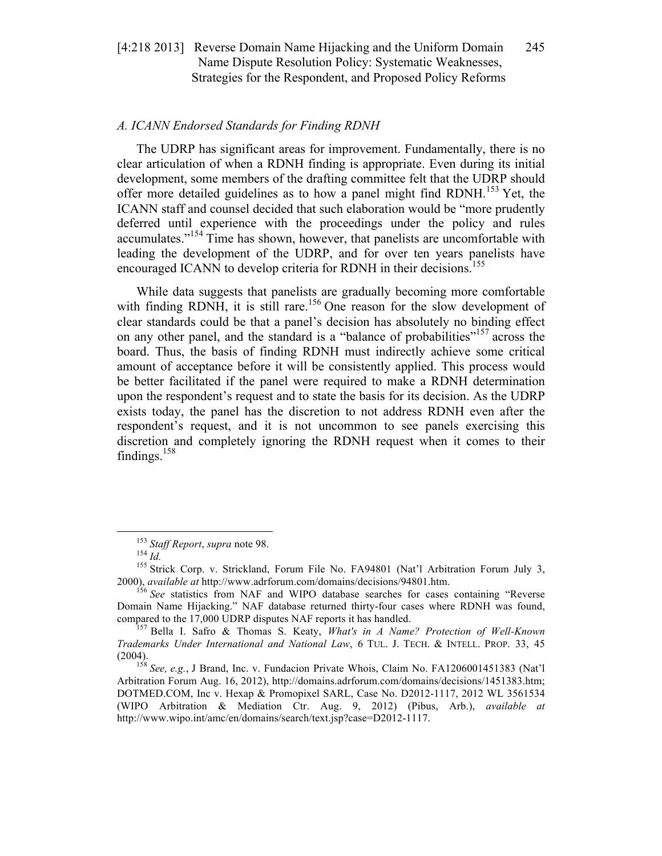## *A. ICANN Endorsed Standards for Finding RDNH*

The UDRP has significant areas for improvement. Fundamentally, there is no clear articulation of when a RDNH finding is appropriate. Even during its initial development, some members of the drafting committee felt that the UDRP should offer more detailed guidelines as to how a panel might find RDNH.<sup>153</sup> Yet, the ICANN staff and counsel decided that such elaboration would be "more prudently deferred until experience with the proceedings under the policy and rules accumulates."<sup>154</sup> Time has shown, however, that panelists are uncomfortable with leading the development of the UDRP, and for over ten years panelists have encouraged ICANN to develop criteria for RDNH in their decisions.<sup>155</sup>

While data suggests that panelists are gradually becoming more comfortable with finding RDNH, it is still rare.<sup>156</sup> One reason for the slow development of clear standards could be that a panel's decision has absolutely no binding effect on any other panel, and the standard is a "balance of probabilities"<sup>157</sup> across the board. Thus, the basis of finding RDNH must indirectly achieve some critical amount of acceptance before it will be consistently applied. This process would be better facilitated if the panel were required to make a RDNH determination upon the respondent's request and to state the basis for its decision. As the UDRP exists today, the panel has the discretion to not address RDNH even after the respondent's request, and it is not uncommon to see panels exercising this discretion and completely ignoring the RDNH request when it comes to their findings. $158$ 

<sup>&</sup>lt;sup>153</sup> *Staff Report*, *supra* note 98.<br><sup>154</sup> *Id.* 155 Strick Corp. v. Strickland, Forum File No. FA94801 (Nat'l Arbitration Forum July 3, 2000), *available at* http://www.adrforum.com/domains/decisions/94801.htm. 156 *See* statistics from NAF and WIPO database searches for cases containing "Reverse

Domain Name Hijacking." NAF database returned thirty-four cases where RDNH was found, compared to the 17,000 UDRP disputes NAF reports it has handled. <sup>157</sup> Bella I. Safro & Thomas S. Keaty, *What's in A Name? Protection of Well-Known* 

*Trademarks Under International and National Law*, 6 TUL. J. TECH. & INTELL. PROP. 33, 45 (2004). 158 *See, e.g.*, J Brand, Inc. v. Fundacion Private Whois, Claim No. FA1206001451383 (Nat'l

Arbitration Forum Aug. 16, 2012), http://domains.adrforum.com/domains/decisions/1451383.htm; DOTMED.COM, Inc v. Hexap & Promopixel SARL, Case No. D2012-1117, 2012 WL 3561534 (WIPO Arbitration & Mediation Ctr. Aug. 9, 2012) (Pibus, Arb.), *available at* http://www.wipo.int/amc/en/domains/search/text.jsp?case=D2012-1117.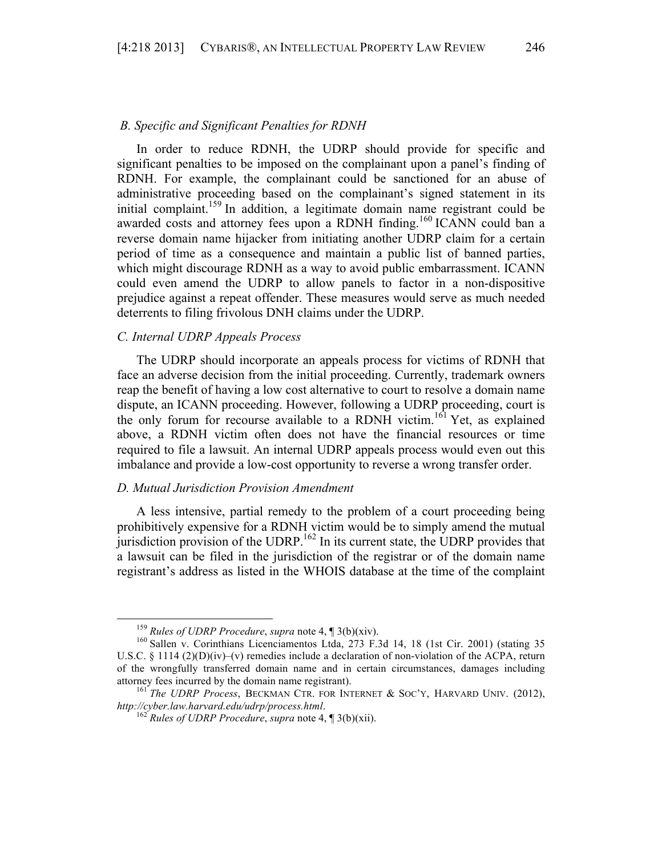## *B. Specific and Significant Penalties for RDNH*

In order to reduce RDNH, the UDRP should provide for specific and significant penalties to be imposed on the complainant upon a panel's finding of RDNH. For example, the complainant could be sanctioned for an abuse of administrative proceeding based on the complainant's signed statement in its initial complaint.<sup>159</sup> In addition, a legitimate domain name registrant could be awarded costs and attorney fees upon a RDNH finding.<sup>160</sup> ICANN could ban a reverse domain name hijacker from initiating another UDRP claim for a certain period of time as a consequence and maintain a public list of banned parties, which might discourage RDNH as a way to avoid public embarrassment. ICANN could even amend the UDRP to allow panels to factor in a non-dispositive prejudice against a repeat offender. These measures would serve as much needed deterrents to filing frivolous DNH claims under the UDRP.

# *C. Internal UDRP Appeals Process*

The UDRP should incorporate an appeals process for victims of RDNH that face an adverse decision from the initial proceeding. Currently, trademark owners reap the benefit of having a low cost alternative to court to resolve a domain name dispute, an ICANN proceeding. However, following a UDRP proceeding, court is the only forum for recourse available to a RDNH victim.<sup>161</sup> Yet, as explained above, a RDNH victim often does not have the financial resources or time required to file a lawsuit. An internal UDRP appeals process would even out this imbalance and provide a low-cost opportunity to reverse a wrong transfer order.

# *D. Mutual Jurisdiction Provision Amendment*

A less intensive, partial remedy to the problem of a court proceeding being prohibitively expensive for a RDNH victim would be to simply amend the mutual jurisdiction provision of the UDRP.<sup>162</sup> In its current state, the UDRP provides that a lawsuit can be filed in the jurisdiction of the registrar or of the domain name registrant's address as listed in the WHOIS database at the time of the complaint

<sup>&</sup>lt;sup>159</sup> *Rules of UDRP Procedure*, *supra* note 4, ¶ 3(b)(xiv).<br><sup>160</sup> Sallen v. Corinthians Licenciamentos Ltda, 273 F.3d 14, 18 (1st Cir. 2001) (stating 35 U.S.C. § 1114 (2)(D)(iv)–(v) remedies include a declaration of non-violation of the ACPA, return of the wrongfully transferred domain name and in certain circumstances, damages including

attorney fees incurred by the domain name registrant).<br><sup>161</sup> *The UDRP Process*, BECKMAN CTR. FOR INTERNET & SOC'Y, HARVARD UNIV. (2012),<br>*http://cyber.law.harvard.edu/udrp/process.html*.

<sup>&</sup>lt;sup>*http://cyber.law.html*? *Rules of UDRP Procedure*, *supra* note 4, ¶ 3(b)(xii).</sup>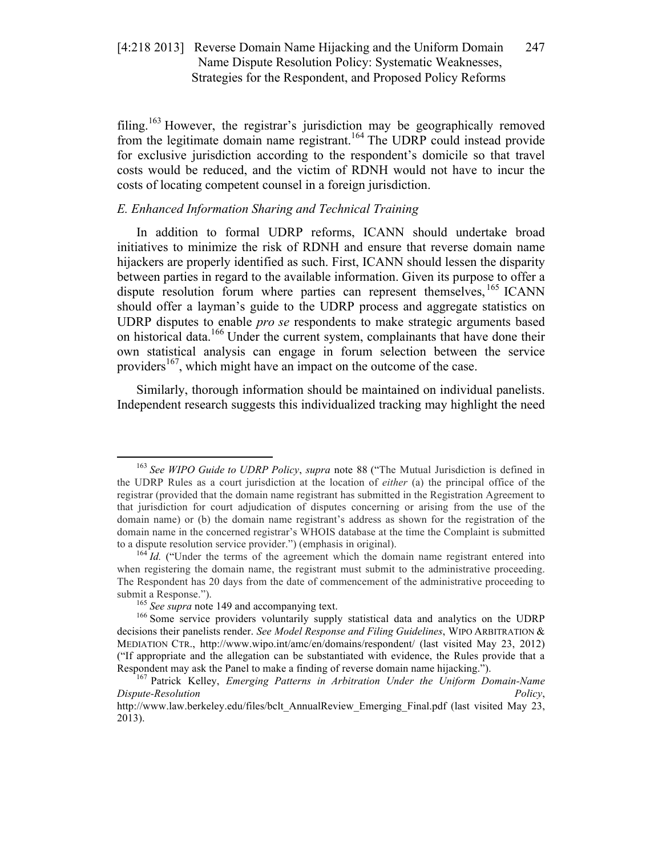filing.<sup>163</sup> However, the registrar's jurisdiction may be geographically removed from the legitimate domain name registrant.<sup>164</sup> The UDRP could instead provide for exclusive jurisdiction according to the respondent's domicile so that travel costs would be reduced, and the victim of RDNH would not have to incur the costs of locating competent counsel in a foreign jurisdiction.

# *E. Enhanced Information Sharing and Technical Training*

In addition to formal UDRP reforms, ICANN should undertake broad initiatives to minimize the risk of RDNH and ensure that reverse domain name hijackers are properly identified as such. First, ICANN should lessen the disparity between parties in regard to the available information. Given its purpose to offer a dispute resolution forum where parties can represent themselves,  $^{165}$  ICANN should offer a layman's guide to the UDRP process and aggregate statistics on UDRP disputes to enable *pro se* respondents to make strategic arguments based on historical data.<sup>166</sup> Under the current system, complainants that have done their own statistical analysis can engage in forum selection between the service providers<sup>167</sup>, which might have an impact on the outcome of the case.

Similarly, thorough information should be maintained on individual panelists. Independent research suggests this individualized tracking may highlight the need

 <sup>163</sup> *See WIPO Guide to UDRP Policy*, *supra* note 88 ("The Mutual Jurisdiction is defined in the UDRP Rules as a court jurisdiction at the location of *either* (a) the principal office of the registrar (provided that the domain name registrant has submitted in the Registration Agreement to that jurisdiction for court adjudication of disputes concerning or arising from the use of the domain name) or (b) the domain name registrant's address as shown for the registration of the domain name in the concerned registrar's WHOIS database at the time the Complaint is submitted to a dispute resolution service provider.") (emphasis in original).<br><sup>164</sup> *Id.* ("Under the terms of the agreement which the domain name registrant entered into

when registering the domain name, the registrant must submit to the administrative proceeding. The Respondent has 20 days from the date of commencement of the administrative proceeding to submit a Response.").<br><sup>165</sup> *See supra* note 149 and accompanying text.<br><sup>166</sup> Some service providers voluntarily supply statistical data and analytics on the UDRP

decisions their panelists render. *See Model Response and Filing Guidelines*, WIPO ARBITRATION & MEDIATION CTR., http://www.wipo.int/amc/en/domains/respondent/ (last visited May 23, 2012) ("If appropriate and the allegation can be substantiated with evidence, the Rules provide that a Respondent may ask the Panel to make a finding of reverse domain name hijacking.").

<sup>&</sup>lt;sup>167</sup> Patrick Kelley, *Emerging Patterns in Arbitration Under the Uniform Domain-Name Dispute-Resolution Policy*,

http://www.law.berkeley.edu/files/bclt\_AnnualReview\_Emerging\_Final.pdf (last visited May 23, 2013).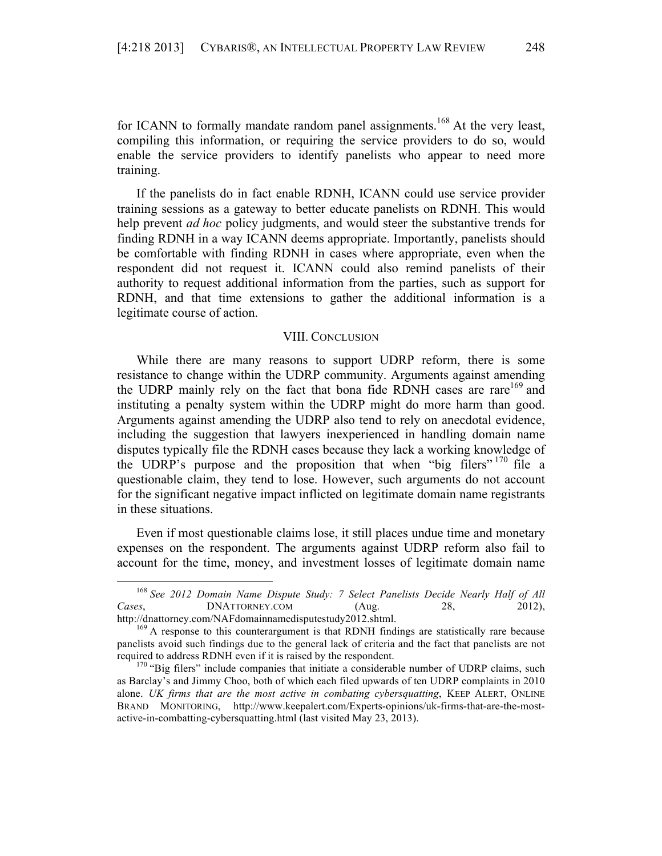for ICANN to formally mandate random panel assignments.<sup>168</sup> At the very least, compiling this information, or requiring the service providers to do so, would enable the service providers to identify panelists who appear to need more training.

If the panelists do in fact enable RDNH, ICANN could use service provider training sessions as a gateway to better educate panelists on RDNH. This would help prevent *ad hoc* policy judgments, and would steer the substantive trends for finding RDNH in a way ICANN deems appropriate. Importantly, panelists should be comfortable with finding RDNH in cases where appropriate, even when the respondent did not request it. ICANN could also remind panelists of their authority to request additional information from the parties, such as support for RDNH, and that time extensions to gather the additional information is a legitimate course of action.

# VIII. CONCLUSION

While there are many reasons to support UDRP reform, there is some resistance to change within the UDRP community. Arguments against amending the UDRP mainly rely on the fact that bona fide RDNH cases are rare<sup>169</sup> and instituting a penalty system within the UDRP might do more harm than good. Arguments against amending the UDRP also tend to rely on anecdotal evidence, including the suggestion that lawyers inexperienced in handling domain name disputes typically file the RDNH cases because they lack a working knowledge of the UDRP's purpose and the proposition that when "big filers" <sup>170</sup> file a questionable claim, they tend to lose. However, such arguments do not account for the significant negative impact inflicted on legitimate domain name registrants in these situations.

Even if most questionable claims lose, it still places undue time and monetary expenses on the respondent. The arguments against UDRP reform also fail to account for the time, money, and investment losses of legitimate domain name

 <sup>168</sup> *See 2012 Domain Name Dispute Study: 7 Select Panelists Decide Nearly Half of All Cases*, **DNATTORNEY.COM** (Aug. 28, 2012),

http://dnattorney.com/NAFdomainnamedisputestudy2012.shtml.<br><sup>169</sup> A response to this counterargument is that RDNH findings are statistically rare because panelists avoid such findings due to the general lack of criteria and the fact that panelists are not

required to address RDNH even if it is raised by the respondent.<br><sup>170</sup> "Big filers" include companies that initiate a considerable number of UDRP claims, such as Barclay's and Jimmy Choo, both of which each filed upwards of ten UDRP complaints in 2010 alone. *UK firms that are the most active in combating cybersquatting*, KEEP ALERT, ONLINE BRAND MONITORING, http://www.keepalert.com/Experts-opinions/uk-firms-that-are-the-mostactive-in-combatting-cybersquatting.html (last visited May 23, 2013).